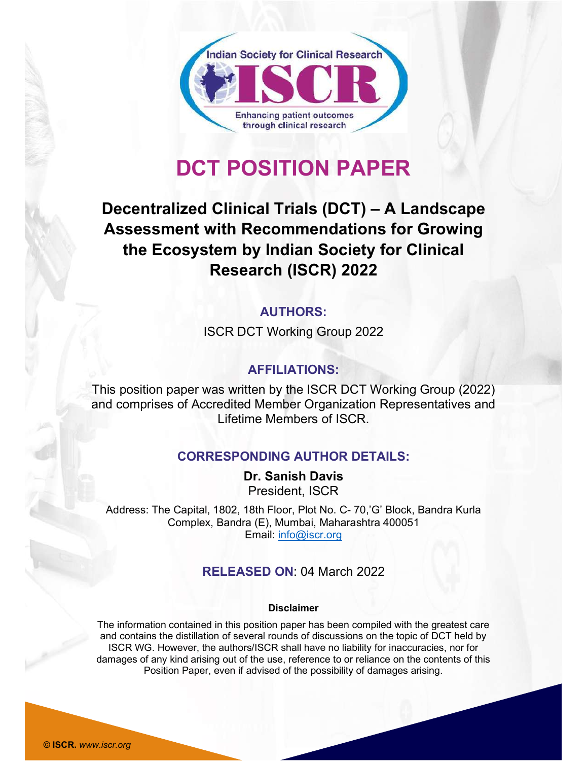

# DCT POSITION PAPER

# Decentralized Clinical Trials (DCT) – A Landscape Assessment with Recommendations for Growing the Ecosystem by Indian Society for Clinical Research (ISCR) 2022

# **AUTHORS:**

ISCR DCT Working Group 2022

#### AFFILIATIONS:

This position paper was written by the ISCR DCT Working Group (2022) and comprises of Accredited Member Organization Representatives and Lifetime Members of ISCR.

#### CORRESPONDING AUTHOR DETAILS:

Dr. Sanish Davis President, ISCR

Address: The Capital, 1802, 18th Floor, Plot No. C- 70,'G' Block, Bandra Kurla Complex, Bandra (E), Mumbai, Maharashtra 400051 Email: info@iscr.org

#### RELEASED ON: 04 March 2022

#### Disclaimer

The information contained in this position paper has been compiled with the greatest care and contains the distillation of several rounds of discussions on the topic of DCT held by ISCR WG. However, the authors/ISCR shall have no liability for inaccuracies, nor for damages of any kind arising out of the use, reference to or reliance on the contents of this Position Paper, even if advised of the possibility of damages arising.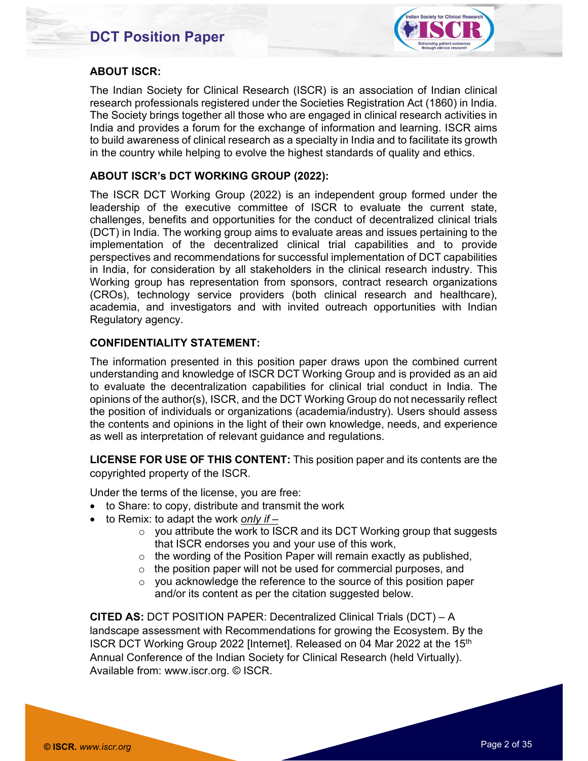

#### ABOUT ISCR:

The Indian Society for Clinical Research (ISCR) is an association of Indian clinical research professionals registered under the Societies Registration Act (1860) in India. The Society brings together all those who are engaged in clinical research activities in India and provides a forum for the exchange of information and learning. ISCR aims to build awareness of clinical research as a specialty in India and to facilitate its growth in the country while helping to evolve the highest standards of quality and ethics.

#### ABOUT ISCR's DCT WORKING GROUP (2022):

The ISCR DCT Working Group (2022) is an independent group formed under the leadership of the executive committee of ISCR to evaluate the current state, challenges, benefits and opportunities for the conduct of decentralized clinical trials (DCT) in India. The working group aims to evaluate areas and issues pertaining to the implementation of the decentralized clinical trial capabilities and to provide perspectives and recommendations for successful implementation of DCT capabilities in India, for consideration by all stakeholders in the clinical research industry. This Working group has representation from sponsors, contract research organizations (CROs), technology service providers (both clinical research and healthcare), academia, and investigators and with invited outreach opportunities with Indian Regulatory agency.

#### CONFIDENTIALITY STATEMENT:

The information presented in this position paper draws upon the combined current understanding and knowledge of ISCR DCT Working Group and is provided as an aid to evaluate the decentralization capabilities for clinical trial conduct in India. The opinions of the author(s), ISCR, and the DCT Working Group do not necessarily reflect the position of individuals or organizations (academia/industry). Users should assess the contents and opinions in the light of their own knowledge, needs, and experience as well as interpretation of relevant guidance and regulations.

LICENSE FOR USE OF THIS CONTENT: This position paper and its contents are the copyrighted property of the ISCR.

Under the terms of the license, you are free:

- to Share: to copy, distribute and transmit the work
- $\bullet$  to Remix: to adapt the work only if  $-$ 
	- $\circ$  you attribute the work to ISCR and its DCT Working group that suggests that ISCR endorses you and your use of this work,
	- $\circ$  the wording of the Position Paper will remain exactly as published,
	- $\circ$  the position paper will not be used for commercial purposes, and
	- o you acknowledge the reference to the source of this position paper and/or its content as per the citation suggested below.

CITED AS: DCT POSITION PAPER: Decentralized Clinical Trials (DCT) – A landscape assessment with Recommendations for growing the Ecosystem. By the ISCR DCT Working Group 2022 [Internet]. Released on 04 Mar 2022 at the 15<sup>th</sup> Annual Conference of the Indian Society for Clinical Research (held Virtually). Available from: www.iscr.org. © ISCR.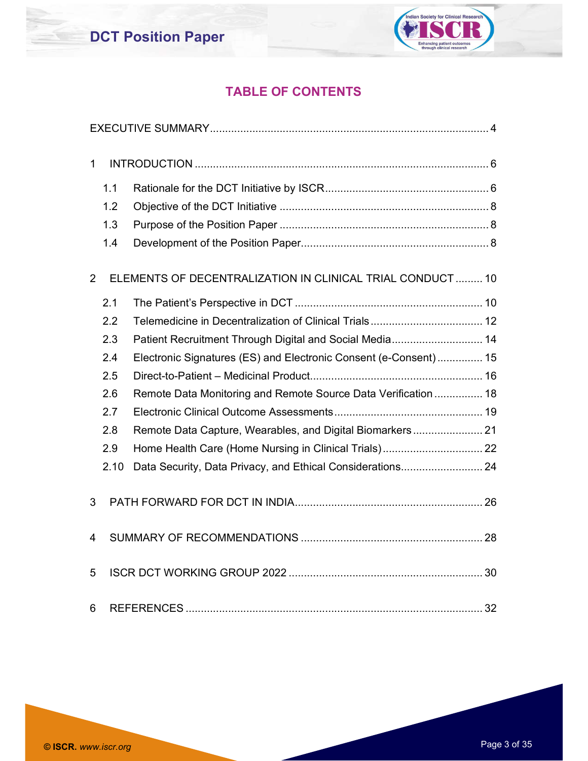

## TABLE OF CONTENTS

| $\mathbf{1}$   |      |                                                                  |  |
|----------------|------|------------------------------------------------------------------|--|
|                | 1.1  |                                                                  |  |
|                | 1.2  |                                                                  |  |
|                | 1.3  |                                                                  |  |
|                | 1.4  |                                                                  |  |
| $\overline{2}$ |      | ELEMENTS OF DECENTRALIZATION IN CLINICAL TRIAL CONDUCT  10       |  |
|                | 2.1  |                                                                  |  |
|                | 2.2  |                                                                  |  |
|                | 2.3  | Patient Recruitment Through Digital and Social Media 14          |  |
|                | 2.4  | Electronic Signatures (ES) and Electronic Consent (e-Consent) 15 |  |
|                | 2.5  |                                                                  |  |
|                | 2.6  | Remote Data Monitoring and Remote Source Data Verification 18    |  |
|                | 2.7  |                                                                  |  |
|                | 2.8  | Remote Data Capture, Wearables, and Digital Biomarkers 21        |  |
|                | 2.9  |                                                                  |  |
|                | 2.10 |                                                                  |  |
| 3              |      |                                                                  |  |
| 4              |      |                                                                  |  |
| 5              |      |                                                                  |  |
| 6              |      |                                                                  |  |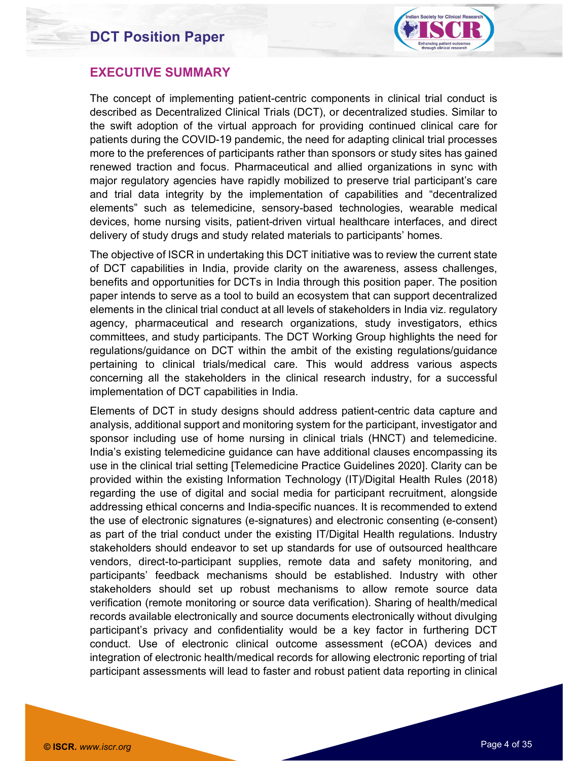

#### EXECUTIVE SUMMARY

The concept of implementing patient-centric components in clinical trial conduct is described as Decentralized Clinical Trials (DCT), or decentralized studies. Similar to the swift adoption of the virtual approach for providing continued clinical care for patients during the COVID-19 pandemic, the need for adapting clinical trial processes more to the preferences of participants rather than sponsors or study sites has gained renewed traction and focus. Pharmaceutical and allied organizations in sync with major regulatory agencies have rapidly mobilized to preserve trial participant's care and trial data integrity by the implementation of capabilities and "decentralized elements" such as telemedicine, sensory-based technologies, wearable medical devices, home nursing visits, patient-driven virtual healthcare interfaces, and direct delivery of study drugs and study related materials to participants' homes.

The objective of ISCR in undertaking this DCT initiative was to review the current state of DCT capabilities in India, provide clarity on the awareness, assess challenges, benefits and opportunities for DCTs in India through this position paper. The position paper intends to serve as a tool to build an ecosystem that can support decentralized elements in the clinical trial conduct at all levels of stakeholders in India viz. regulatory agency, pharmaceutical and research organizations, study investigators, ethics committees, and study participants. The DCT Working Group highlights the need for regulations/guidance on DCT within the ambit of the existing regulations/guidance pertaining to clinical trials/medical care. This would address various aspects concerning all the stakeholders in the clinical research industry, for a successful implementation of DCT capabilities in India.

Elements of DCT in study designs should address patient-centric data capture and analysis, additional support and monitoring system for the participant, investigator and sponsor including use of home nursing in clinical trials (HNCT) and telemedicine. India's existing telemedicine guidance can have additional clauses encompassing its use in the clinical trial setting [Telemedicine Practice Guidelines 2020]. Clarity can be provided within the existing Information Technology (IT)/Digital Health Rules (2018) regarding the use of digital and social media for participant recruitment, alongside addressing ethical concerns and India-specific nuances. It is recommended to extend the use of electronic signatures (e-signatures) and electronic consenting (e-consent) as part of the trial conduct under the existing IT/Digital Health regulations. Industry stakeholders should endeavor to set up standards for use of outsourced healthcare vendors, direct-to-participant supplies, remote data and safety monitoring, and participants' feedback mechanisms should be established. Industry with other stakeholders should set up robust mechanisms to allow remote source data verification (remote monitoring or source data verification). Sharing of health/medical records available electronically and source documents electronically without divulging participant's privacy and confidentiality would be a key factor in furthering DCT conduct. Use of electronic clinical outcome assessment (eCOA) devices and integration of electronic health/medical records for allowing electronic reporting of trial participant assessments will lead to faster and robust patient data reporting in clinical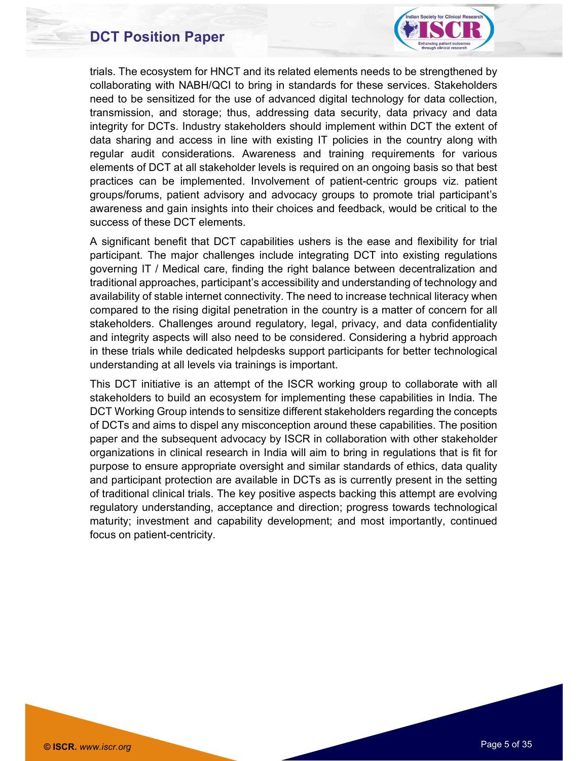

trials. The ecosystem for HNCT and its related elements needs to be strengthened by collaborating with NABH/QCI to bring in standards for these services. Stakeholders need to be sensitized for the use of advanced digital technology for data collection, transmission, and storage; thus, addressing data security, data privacy and data integrity for DCTs. Industry stakeholders should implement within DCT the extent of data sharing and access in line with existing IT policies in the country along with regular audit considerations. Awareness and training requirements for various elements of DCT at all stakeholder levels is required on an ongoing basis so that best practices can be implemented. Involvement of patient-centric groups viz. patient groups/forums, patient advisory and advocacy groups to promote trial participant's awareness and gain insights into their choices and feedback, would be critical to the success of these DCT elements.

A significant benefit that DCT capabilities ushers is the ease and flexibility for trial participant. The major challenges include integrating DCT into existing regulations governing IT / Medical care, finding the right balance between decentralization and traditional approaches, participant's accessibility and understanding of technology and availability of stable internet connectivity. The need to increase technical literacy when compared to the rising digital penetration in the country is a matter of concern for all stakeholders. Challenges around regulatory, legal, privacy, and data confidentiality and integrity aspects will also need to be considered. Considering a hybrid approach in these trials while dedicated helpdesks support participants for better technological understanding at all levels via trainings is important.

This DCT initiative is an attempt of the ISCR working group to collaborate with all stakeholders to build an ecosystem for implementing these capabilities in India. The DCT Working Group intends to sensitize different stakeholders regarding the concepts of DCTs and aims to dispel any misconception around these capabilities. The position paper and the subsequent advocacy by ISCR in collaboration with other stakeholder organizations in clinical research in India will aim to bring in regulations that is fit for purpose to ensure appropriate oversight and similar standards of ethics, data quality and participant protection are available in DCTs as is currently present in the setting of traditional clinical trials. The key positive aspects backing this attempt are evolving regulatory understanding, acceptance and direction; progress towards technological maturity; investment and capability development; and most importantly, continued focus on patient-centricity.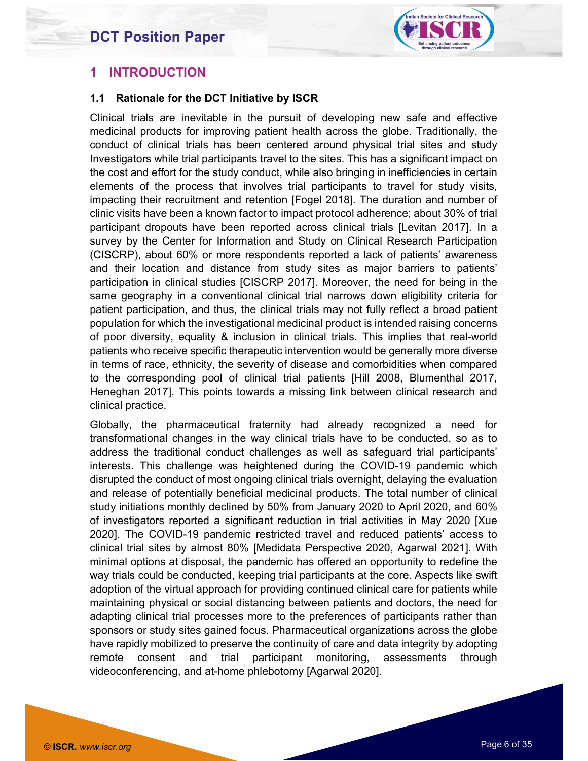

#### 1 INTRODUCTION

#### 1.1 Rationale for the DCT Initiative by ISCR

Clinical trials are inevitable in the pursuit of developing new safe and effective medicinal products for improving patient health across the globe. Traditionally, the conduct of clinical trials has been centered around physical trial sites and study Investigators while trial participants travel to the sites. This has a significant impact on the cost and effort for the study conduct, while also bringing in inefficiencies in certain elements of the process that involves trial participants to travel for study visits, impacting their recruitment and retention [Fogel 2018]. The duration and number of clinic visits have been a known factor to impact protocol adherence; about 30% of trial participant dropouts have been reported across clinical trials [Levitan 2017]. In a survey by the Center for Information and Study on Clinical Research Participation (CISCRP), about 60% or more respondents reported a lack of patients' awareness and their location and distance from study sites as major barriers to patients' participation in clinical studies [CISCRP 2017]. Moreover, the need for being in the same geography in a conventional clinical trial narrows down eligibility criteria for patient participation, and thus, the clinical trials may not fully reflect a broad patient population for which the investigational medicinal product is intended raising concerns of poor diversity, equality & inclusion in clinical trials. This implies that real-world patients who receive specific therapeutic intervention would be generally more diverse in terms of race, ethnicity, the severity of disease and comorbidities when compared to the corresponding pool of clinical trial patients [Hill 2008, Blumenthal 2017, Heneghan 2017]. This points towards a missing link between clinical research and clinical practice.

Globally, the pharmaceutical fraternity had already recognized a need for transformational changes in the way clinical trials have to be conducted, so as to address the traditional conduct challenges as well as safeguard trial participants' interests. This challenge was heightened during the COVID-19 pandemic which disrupted the conduct of most ongoing clinical trials overnight, delaying the evaluation and release of potentially beneficial medicinal products. The total number of clinical study initiations monthly declined by 50% from January 2020 to April 2020, and 60% of investigators reported a significant reduction in trial activities in May 2020 [Xue 2020]. The COVID-19 pandemic restricted travel and reduced patients' access to clinical trial sites by almost 80% [Medidata Perspective 2020, Agarwal 2021]. With minimal options at disposal, the pandemic has offered an opportunity to redefine the way trials could be conducted, keeping trial participants at the core. Aspects like swift adoption of the virtual approach for providing continued clinical care for patients while maintaining physical or social distancing between patients and doctors, the need for adapting clinical trial processes more to the preferences of participants rather than sponsors or study sites gained focus. Pharmaceutical organizations across the globe have rapidly mobilized to preserve the continuity of care and data integrity by adopting remote consent and trial participant monitoring, assessments through videoconferencing, and at-home phlebotomy [Agarwal 2020].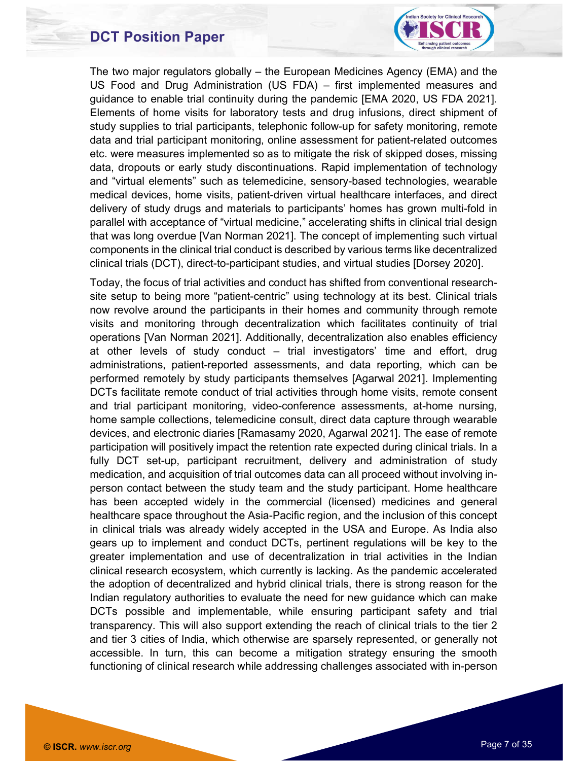

The two major regulators globally – the European Medicines Agency (EMA) and the US Food and Drug Administration (US FDA) – first implemented measures and guidance to enable trial continuity during the pandemic [EMA 2020, US FDA 2021]. Elements of home visits for laboratory tests and drug infusions, direct shipment of study supplies to trial participants, telephonic follow-up for safety monitoring, remote data and trial participant monitoring, online assessment for patient-related outcomes etc. were measures implemented so as to mitigate the risk of skipped doses, missing data, dropouts or early study discontinuations. Rapid implementation of technology and "virtual elements" such as telemedicine, sensory-based technologies, wearable medical devices, home visits, patient-driven virtual healthcare interfaces, and direct delivery of study drugs and materials to participants' homes has grown multi-fold in parallel with acceptance of "virtual medicine," accelerating shifts in clinical trial design that was long overdue [Van Norman 2021]. The concept of implementing such virtual components in the clinical trial conduct is described by various terms like decentralized clinical trials (DCT), direct-to-participant studies, and virtual studies [Dorsey 2020].

Today, the focus of trial activities and conduct has shifted from conventional researchsite setup to being more "patient-centric" using technology at its best. Clinical trials now revolve around the participants in their homes and community through remote visits and monitoring through decentralization which facilitates continuity of trial operations [Van Norman 2021]. Additionally, decentralization also enables efficiency at other levels of study conduct – trial investigators' time and effort, drug administrations, patient-reported assessments, and data reporting, which can be performed remotely by study participants themselves [Agarwal 2021]. Implementing DCTs facilitate remote conduct of trial activities through home visits, remote consent and trial participant monitoring, video-conference assessments, at-home nursing, home sample collections, telemedicine consult, direct data capture through wearable devices, and electronic diaries [Ramasamy 2020, Agarwal 2021]. The ease of remote participation will positively impact the retention rate expected during clinical trials. In a fully DCT set-up, participant recruitment, delivery and administration of study medication, and acquisition of trial outcomes data can all proceed without involving inperson contact between the study team and the study participant. Home healthcare has been accepted widely in the commercial (licensed) medicines and general healthcare space throughout the Asia-Pacific region, and the inclusion of this concept in clinical trials was already widely accepted in the USA and Europe. As India also gears up to implement and conduct DCTs, pertinent regulations will be key to the greater implementation and use of decentralization in trial activities in the Indian clinical research ecosystem, which currently is lacking. As the pandemic accelerated the adoption of decentralized and hybrid clinical trials, there is strong reason for the Indian regulatory authorities to evaluate the need for new guidance which can make DCTs possible and implementable, while ensuring participant safety and trial transparency. This will also support extending the reach of clinical trials to the tier 2 and tier 3 cities of India, which otherwise are sparsely represented, or generally not accessible. In turn, this can become a mitigation strategy ensuring the smooth functioning of clinical research while addressing challenges associated with in-person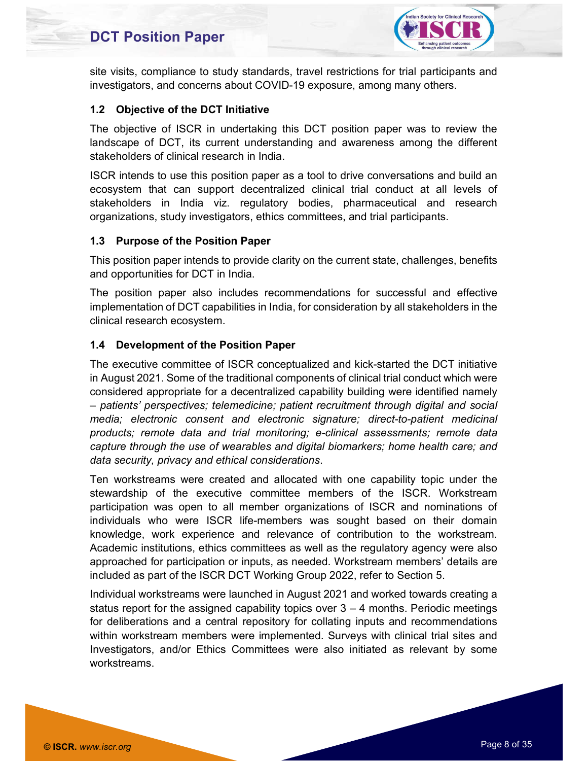

site visits, compliance to study standards, travel restrictions for trial participants and investigators, and concerns about COVID-19 exposure, among many others.

#### 1.2 Objective of the DCT Initiative

The objective of ISCR in undertaking this DCT position paper was to review the landscape of DCT, its current understanding and awareness among the different stakeholders of clinical research in India.

ISCR intends to use this position paper as a tool to drive conversations and build an ecosystem that can support decentralized clinical trial conduct at all levels of stakeholders in India viz. regulatory bodies, pharmaceutical and research organizations, study investigators, ethics committees, and trial participants.

#### 1.3 Purpose of the Position Paper

This position paper intends to provide clarity on the current state, challenges, benefits and opportunities for DCT in India.

The position paper also includes recommendations for successful and effective implementation of DCT capabilities in India, for consideration by all stakeholders in the clinical research ecosystem.

#### 1.4 Development of the Position Paper

The executive committee of ISCR conceptualized and kick-started the DCT initiative in August 2021. Some of the traditional components of clinical trial conduct which were considered appropriate for a decentralized capability building were identified namely<br>- patients' perspectives; telemedicine; patient recruitment through digital and social media; electronic consent and electronic signature; direct-to-patient medicinal products; remote data and trial monitoring; e-clinical assessments; remote data capture through the use of wearables and digital biomarkers; home health care; and data security, privacy and ethical considerations.<br>Ten workstreams were created and allocated with one capability topic under the

stewardship of the executive committee members of the ISCR. Workstream participation was open to all member organizations of ISCR and nominations of individuals who were ISCR life-members was sought based on their domain knowledge, work experience and relevance of contribution to the workstream. Academic institutions, ethics committees as well as the regulatory agency were also approached for participation or inputs, as needed. Workstream members' details are included as part of the ISCR DCT Working Group 2022, refer to Section 5.

Individual workstreams were launched in August 2021 and worked towards creating a status report for the assigned capability topics over  $3 - 4$  months. Periodic meetings for deliberations and a central repository for collating inputs and recommendations within workstream members were implemented. Surveys with clinical trial sites and Investigators, and/or Ethics Committees were also initiated as relevant by some workstreams.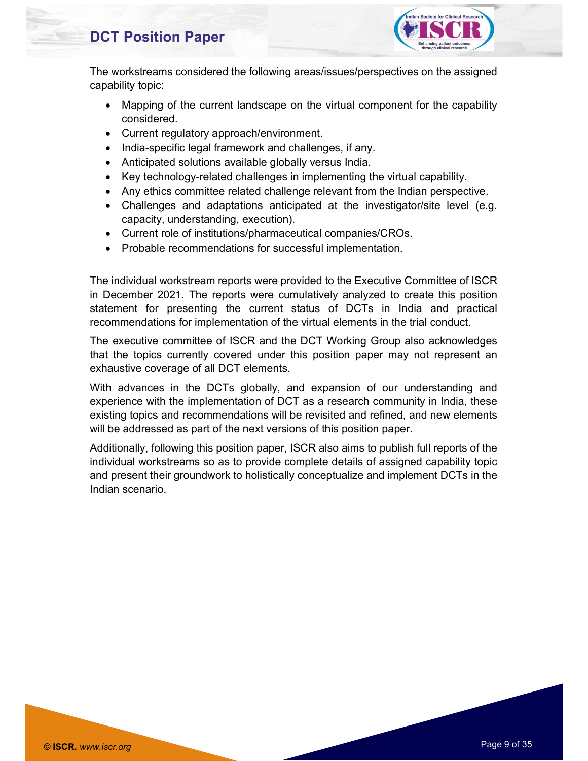

The workstreams considered the following areas/issues/perspectives on the assigned capability topic:

- Mapping of the current landscape on the virtual component for the capability considered.
- Current regulatory approach/environment.
- India-specific legal framework and challenges, if any.
- Anticipated solutions available globally versus India.
- Key technology-related challenges in implementing the virtual capability.
- Any ethics committee related challenge relevant from the Indian perspective.
- Challenges and adaptations anticipated at the investigator/site level (e.g. capacity, understanding, execution).
- Current role of institutions/pharmaceutical companies/CROs.
- Probable recommendations for successful implementation.

The individual workstream reports were provided to the Executive Committee of ISCR in December 2021. The reports were cumulatively analyzed to create this position statement for presenting the current status of DCTs in India and practical recommendations for implementation of the virtual elements in the trial conduct.

The executive committee of ISCR and the DCT Working Group also acknowledges that the topics currently covered under this position paper may not represent an exhaustive coverage of all DCT elements.

With advances in the DCTs globally, and expansion of our understanding and experience with the implementation of DCT as a research community in India, these existing topics and recommendations will be revisited and refined, and new elements will be addressed as part of the next versions of this position paper.

Additionally, following this position paper, ISCR also aims to publish full reports of the individual workstreams so as to provide complete details of assigned capability topic and present their groundwork to holistically conceptualize and implement DCTs in the Indian scenario.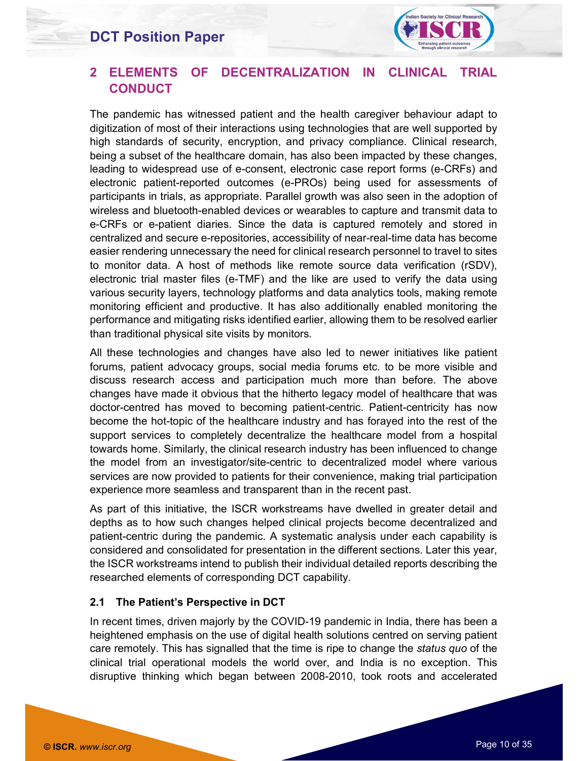

#### 2 ELEMENTS OF DECENTRALIZATION IN CLINICAL TRIAL **CONDUCT**

The pandemic has witnessed patient and the health caregiver behaviour adapt to digitization of most of their interactions using technologies that are well supported by high standards of security, encryption, and privacy compliance. Clinical research, being a subset of the healthcare domain, has also been impacted by these changes, leading to widespread use of e-consent, electronic case report forms (e-CRFs) and electronic patient-reported outcomes (e-PROs) being used for assessments of participants in trials, as appropriate. Parallel growth was also seen in the adoption of wireless and bluetooth-enabled devices or wearables to capture and transmit data to e-CRFs or e-patient diaries. Since the data is captured remotely and stored in centralized and secure e-repositories, accessibility of near-real-time data has become easier rendering unnecessary the need for clinical research personnel to travel to sites to monitor data. A host of methods like remote source data verification (rSDV), electronic trial master files (e-TMF) and the like are used to verify the data using various security layers, technology platforms and data analytics tools, making remote monitoring efficient and productive. It has also additionally enabled monitoring the performance and mitigating risks identified earlier, allowing them to be resolved earlier than traditional physical site visits by monitors.

All these technologies and changes have also led to newer initiatives like patient forums, patient advocacy groups, social media forums etc. to be more visible and discuss research access and participation much more than before. The above changes have made it obvious that the hitherto legacy model of healthcare that was doctor-centred has moved to becoming patient-centric. Patient-centricity has now become the hot-topic of the healthcare industry and has forayed into the rest of the support services to completely decentralize the healthcare model from a hospital towards home. Similarly, the clinical research industry has been influenced to change the model from an investigator/site-centric to decentralized model where various services are now provided to patients for their convenience, making trial participation experience more seamless and transparent than in the recent past.

As part of this initiative, the ISCR workstreams have dwelled in greater detail and depths as to how such changes helped clinical projects become decentralized and patient-centric during the pandemic. A systematic analysis under each capability is considered and consolidated for presentation in the different sections. Later this year, the ISCR workstreams intend to publish their individual detailed reports describing the researched elements of corresponding DCT capability.

#### 2.1 The Patient's Perspective in DCT

In recent times, driven majorly by the COVID-19 pandemic in India, there has been a heightened emphasis on the use of digital health solutions centred on serving patient care remotely. This has signalled that the time is ripe to change the *status quo* of the clinical trial operational models the world over, and India is no exception. This disruptive thinking which began between 2008-2010, took roots and accelerated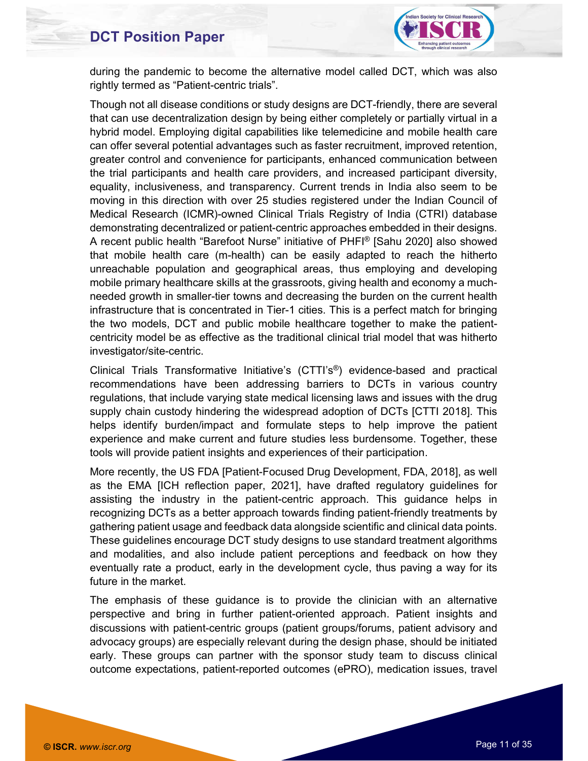

during the pandemic to become the alternative model called DCT, which was also rightly termed as "Patient-centric trials".

Though not all disease conditions or study designs are DCT-friendly, there are several that can use decentralization design by being either completely or partially virtual in a hybrid model. Employing digital capabilities like telemedicine and mobile health care can offer several potential advantages such as faster recruitment, improved retention, greater control and convenience for participants, enhanced communication between the trial participants and health care providers, and increased participant diversity, equality, inclusiveness, and transparency. Current trends in India also seem to be moving in this direction with over 25 studies registered under the Indian Council of Medical Research (ICMR)-owned Clinical Trials Registry of India (CTRI) database demonstrating decentralized or patient-centric approaches embedded in their designs. A recent public health "Barefoot Nurse" initiative of PHFI® [Sahu 2020] also showed that mobile health care (m-health) can be easily adapted to reach the hitherto unreachable population and geographical areas, thus employing and developing mobile primary healthcare skills at the grassroots, giving health and economy a muchneeded growth in smaller-tier towns and decreasing the burden on the current health infrastructure that is concentrated in Tier-1 cities. This is a perfect match for bringing the two models, DCT and public mobile healthcare together to make the patientcentricity model be as effective as the traditional clinical trial model that was hitherto investigator/site-centric.

Clinical Trials Transformative Initiative's (CTTI's®) evidence-based and practical recommendations have been addressing barriers to DCTs in various country regulations, that include varying state medical licensing laws and issues with the drug supply chain custody hindering the widespread adoption of DCTs [CTTI 2018]. This helps identify burden/impact and formulate steps to help improve the patient experience and make current and future studies less burdensome. Together, these tools will provide patient insights and experiences of their participation.

More recently, the US FDA [Patient-Focused Drug Development, FDA, 2018], as well as the EMA [ICH reflection paper, 2021], have drafted regulatory guidelines for assisting the industry in the patient-centric approach. This guidance helps in recognizing DCTs as a better approach towards finding patient-friendly treatments by gathering patient usage and feedback data alongside scientific and clinical data points. These guidelines encourage DCT study designs to use standard treatment algorithms and modalities, and also include patient perceptions and feedback on how they eventually rate a product, early in the development cycle, thus paving a way for its future in the market.

The emphasis of these guidance is to provide the clinician with an alternative perspective and bring in further patient-oriented approach. Patient insights and discussions with patient-centric groups (patient groups/forums, patient advisory and advocacy groups) are especially relevant during the design phase, should be initiated early. These groups can partner with the sponsor study team to discuss clinical outcome expectations, patient-reported outcomes (ePRO), medication issues, travel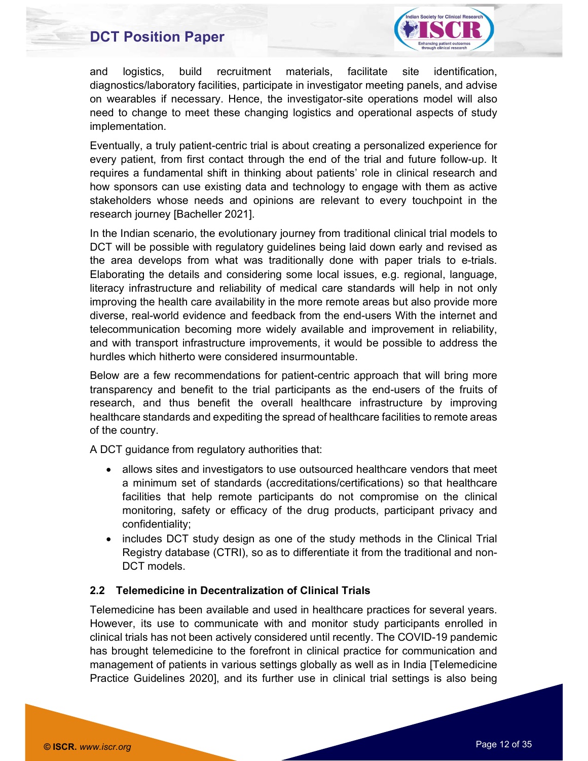

and logistics, build recruitment materials, facilitate site identification, diagnostics/laboratory facilities, participate in investigator meeting panels, and advise on wearables if necessary. Hence, the investigator-site operations model will also need to change to meet these changing logistics and operational aspects of study implementation.

Eventually, a truly patient-centric trial is about creating a personalized experience for every patient, from first contact through the end of the trial and future follow-up. It requires a fundamental shift in thinking about patients' role in clinical research and how sponsors can use existing data and technology to engage with them as active stakeholders whose needs and opinions are relevant to every touchpoint in the research journey [Bacheller 2021].

In the Indian scenario, the evolutionary journey from traditional clinical trial models to DCT will be possible with regulatory guidelines being laid down early and revised as the area develops from what was traditionally done with paper trials to e-trials. Elaborating the details and considering some local issues, e.g. regional, language, literacy infrastructure and reliability of medical care standards will help in not only improving the health care availability in the more remote areas but also provide more diverse, real-world evidence and feedback from the end-users With the internet and telecommunication becoming more widely available and improvement in reliability, and with transport infrastructure improvements, it would be possible to address the hurdles which hitherto were considered insurmountable.

Below are a few recommendations for patient-centric approach that will bring more transparency and benefit to the trial participants as the end-users of the fruits of research, and thus benefit the overall healthcare infrastructure by improving healthcare standards and expediting the spread of healthcare facilities to remote areas of the country.

A DCT guidance from regulatory authorities that:

- allows sites and investigators to use outsourced healthcare vendors that meet a minimum set of standards (accreditations/certifications) so that healthcare facilities that help remote participants do not compromise on the clinical monitoring, safety or efficacy of the drug products, participant privacy and confidentiality;
- includes DCT study design as one of the study methods in the Clinical Trial Registry database (CTRI), so as to differentiate it from the traditional and non-DCT models.

#### 2.2 Telemedicine in Decentralization of Clinical Trials

Telemedicine has been available and used in healthcare practices for several years. However, its use to communicate with and monitor study participants enrolled in clinical trials has not been actively considered until recently. The COVID-19 pandemic has brought telemedicine to the forefront in clinical practice for communication and management of patients in various settings globally as well as in India [Telemedicine Practice Guidelines 2020], and its further use in clinical trial settings is also being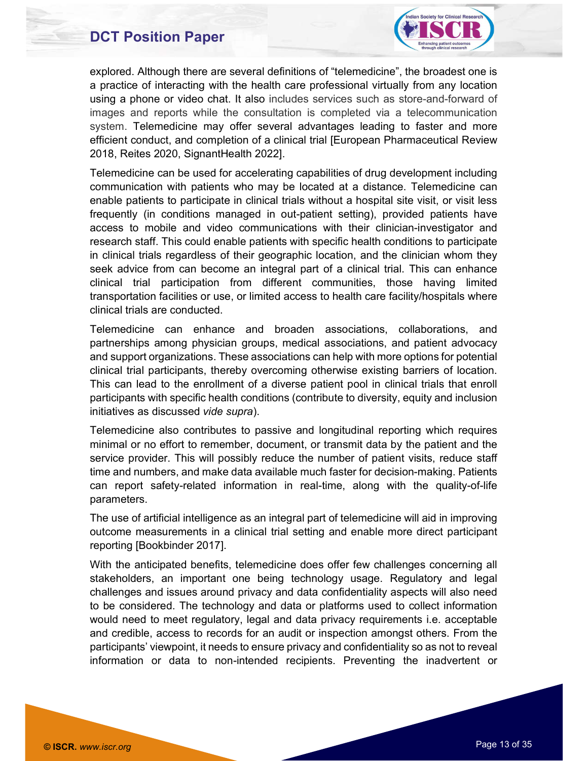

explored. Although there are several definitions of "telemedicine", the broadest one is a practice of interacting with the health care professional virtually from any location using a phone or video chat. It also includes services such as store-and-forward of images and reports while the consultation is completed via a telecommunication system. Telemedicine may offer several advantages leading to faster and more efficient conduct, and completion of a clinical trial [European Pharmaceutical Review 2018, Reites 2020, SignantHealth 2022].

Telemedicine can be used for accelerating capabilities of drug development including communication with patients who may be located at a distance. Telemedicine can enable patients to participate in clinical trials without a hospital site visit, or visit less frequently (in conditions managed in out-patient setting), provided patients have access to mobile and video communications with their clinician-investigator and research staff. This could enable patients with specific health conditions to participate in clinical trials regardless of their geographic location, and the clinician whom they seek advice from can become an integral part of a clinical trial. This can enhance clinical trial participation from different communities, those having limited transportation facilities or use, or limited access to health care facility/hospitals where clinical trials are conducted.

Telemedicine can enhance and broaden associations, collaborations, and partnerships among physician groups, medical associations, and patient advocacy and support organizations. These associations can help with more options for potential clinical trial participants, thereby overcoming otherwise existing barriers of location. This can lead to the enrollment of a diverse patient pool in clinical trials that enroll participants with specific health conditions (contribute to diversity, equity and inclusion initiatives as discussed vide supra).

Telemedicine also contributes to passive and longitudinal reporting which requires minimal or no effort to remember, document, or transmit data by the patient and the service provider. This will possibly reduce the number of patient visits, reduce staff time and numbers, and make data available much faster for decision-making. Patients can report safety-related information in real-time, along with the quality-of-life parameters.

The use of artificial intelligence as an integral part of telemedicine will aid in improving outcome measurements in a clinical trial setting and enable more direct participant reporting [Bookbinder 2017].

With the anticipated benefits, telemedicine does offer few challenges concerning all stakeholders, an important one being technology usage. Regulatory and legal challenges and issues around privacy and data confidentiality aspects will also need to be considered. The technology and data or platforms used to collect information would need to meet regulatory, legal and data privacy requirements i.e. acceptable and credible, access to records for an audit or inspection amongst others. From the participants' viewpoint, it needs to ensure privacy and confidentiality so as not to reveal information or data to non-intended recipients. Preventing the inadvertent or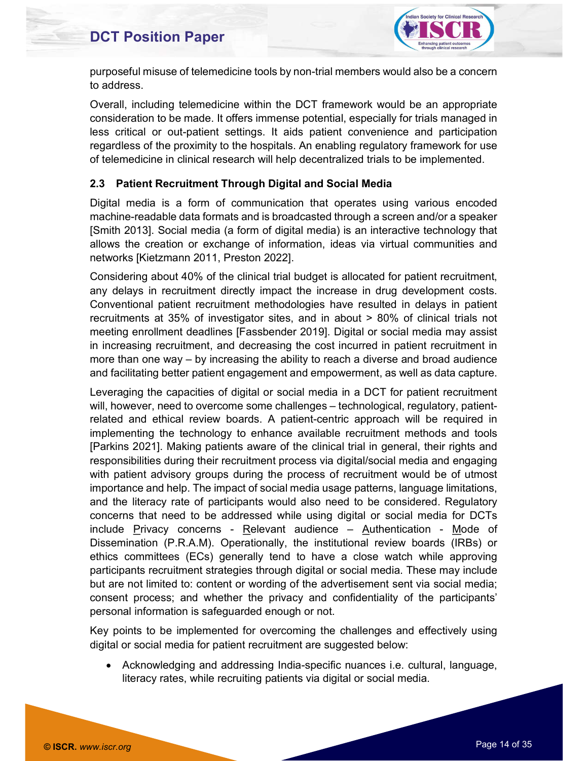

purposeful misuse of telemedicine tools by non-trial members would also be a concern to address.

Overall, including telemedicine within the DCT framework would be an appropriate consideration to be made. It offers immense potential, especially for trials managed in less critical or out-patient settings. It aids patient convenience and participation regardless of the proximity to the hospitals. An enabling regulatory framework for use of telemedicine in clinical research will help decentralized trials to be implemented.

#### 2.3 Patient Recruitment Through Digital and Social Media

Digital media is a form of communication that operates using various encoded machine-readable data formats and is broadcasted through a screen and/or a speaker [Smith 2013]. Social media (a form of digital media) is an interactive technology that allows the creation or exchange of information, ideas via virtual communities and networks [Kietzmann 2011, Preston 2022].

Considering about 40% of the clinical trial budget is allocated for patient recruitment, any delays in recruitment directly impact the increase in drug development costs. Conventional patient recruitment methodologies have resulted in delays in patient recruitments at 35% of investigator sites, and in about > 80% of clinical trials not meeting enrollment deadlines [Fassbender 2019]. Digital or social media may assist in increasing recruitment, and decreasing the cost incurred in patient recruitment in more than one way – by increasing the ability to reach a diverse and broad audience and facilitating better patient engagement and empowerment, as well as data capture.

Leveraging the capacities of digital or social media in a DCT for patient recruitment will, however, need to overcome some challenges – technological, regulatory, patientrelated and ethical review boards. A patient-centric approach will be required in implementing the technology to enhance available recruitment methods and tools [Parkins 2021]. Making patients aware of the clinical trial in general, their rights and responsibilities during their recruitment process via digital/social media and engaging with patient advisory groups during the process of recruitment would be of utmost importance and help. The impact of social media usage patterns, language limitations, and the literacy rate of participants would also need to be considered. Regulatory concerns that need to be addressed while using digital or social media for DCTs include Privacy concerns - Relevant audience – Authentication - Mode of Dissemination (P.R.A.M). Operationally, the institutional review boards (IRBs) or ethics committees (ECs) generally tend to have a close watch while approving participants recruitment strategies through digital or social media. These may include but are not limited to: content or wording of the advertisement sent via social media; consent process; and whether the privacy and confidentiality of the participants' personal information is safeguarded enough or not.

Key points to be implemented for overcoming the challenges and effectively using digital or social media for patient recruitment are suggested below:

 Acknowledging and addressing India-specific nuances i.e. cultural, language, literacy rates, while recruiting patients via digital or social media.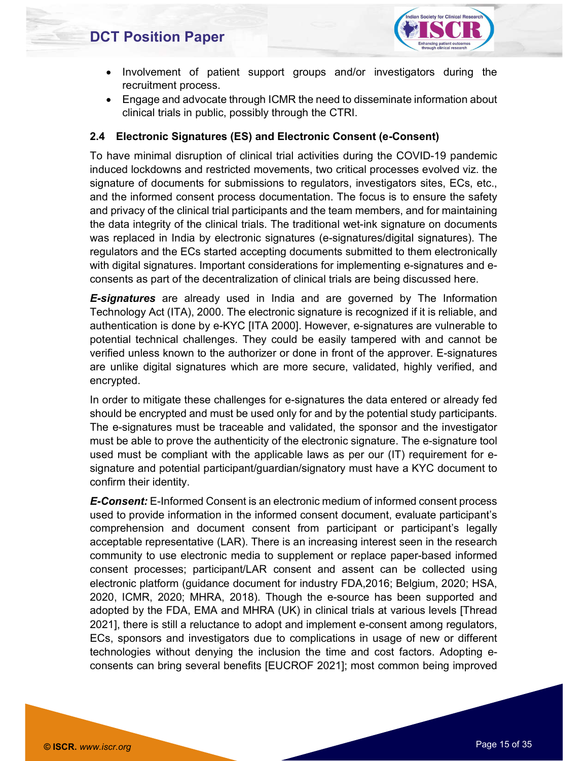

- Involvement of patient support groups and/or investigators during the recruitment process.
- Engage and advocate through ICMR the need to disseminate information about clinical trials in public, possibly through the CTRI.

#### 2.4 Electronic Signatures (ES) and Electronic Consent (e-Consent)

To have minimal disruption of clinical trial activities during the COVID-19 pandemic induced lockdowns and restricted movements, two critical processes evolved viz. the signature of documents for submissions to regulators, investigators sites, ECs, etc., and the informed consent process documentation. The focus is to ensure the safety and privacy of the clinical trial participants and the team members, and for maintaining the data integrity of the clinical trials. The traditional wet-ink signature on documents was replaced in India by electronic signatures (e-signatures/digital signatures). The regulators and the ECs started accepting documents submitted to them electronically with digital signatures. Important considerations for implementing e-signatures and econsents as part of the decentralization of clinical trials are being discussed here.

**E-signatures** are already used in India and are governed by The Information Technology Act (ITA), 2000. The electronic signature is recognized if it is reliable, and authentication is done by e-KYC [ITA 2000]. However, e-signatures are vulnerable to potential technical challenges. They could be easily tampered with and cannot be verified unless known to the authorizer or done in front of the approver. E-signatures are unlike digital signatures which are more secure, validated, highly verified, and encrypted.

In order to mitigate these challenges for e-signatures the data entered or already fed should be encrypted and must be used only for and by the potential study participants. The e-signatures must be traceable and validated, the sponsor and the investigator must be able to prove the authenticity of the electronic signature. The e-signature tool used must be compliant with the applicable laws as per our (IT) requirement for esignature and potential participant/guardian/signatory must have a KYC document to confirm their identity.

**E-Consent:** E-Informed Consent is an electronic medium of informed consent process used to provide information in the informed consent document, evaluate participant's comprehension and document consent from participant or participant's legally acceptable representative (LAR). There is an increasing interest seen in the research community to use electronic media to supplement or replace paper-based informed consent processes; participant/LAR consent and assent can be collected using electronic platform (guidance document for industry FDA,2016; Belgium, 2020; HSA, 2020, ICMR, 2020; MHRA, 2018). Though the e-source has been supported and adopted by the FDA, EMA and MHRA (UK) in clinical trials at various levels [Thread 2021], there is still a reluctance to adopt and implement e-consent among regulators, ECs, sponsors and investigators due to complications in usage of new or different technologies without denying the inclusion the time and cost factors. Adopting econsents can bring several benefits [EUCROF 2021]; most common being improved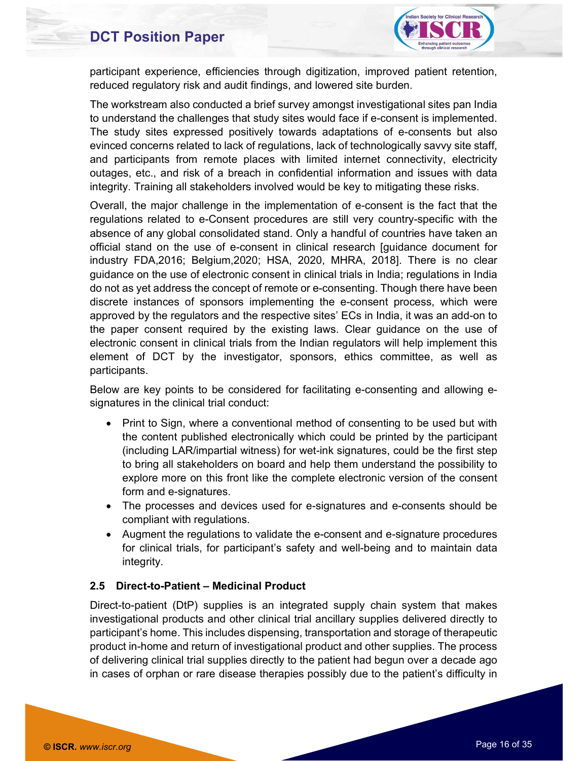

participant experience, efficiencies through digitization, improved patient retention, reduced regulatory risk and audit findings, and lowered site burden.

The workstream also conducted a brief survey amongst investigational sites pan India to understand the challenges that study sites would face if e-consent is implemented. The study sites expressed positively towards adaptations of e-consents but also evinced concerns related to lack of regulations, lack of technologically savvy site staff, and participants from remote places with limited internet connectivity, electricity outages, etc., and risk of a breach in confidential information and issues with data integrity. Training all stakeholders involved would be key to mitigating these risks.

Overall, the major challenge in the implementation of e-consent is the fact that the regulations related to e-Consent procedures are still very country-specific with the absence of any global consolidated stand. Only a handful of countries have taken an official stand on the use of e-consent in clinical research [guidance document for industry FDA,2016; Belgium,2020; HSA, 2020, MHRA, 2018]. There is no clear guidance on the use of electronic consent in clinical trials in India; regulations in India do not as yet address the concept of remote or e-consenting. Though there have been discrete instances of sponsors implementing the e-consent process, which were approved by the regulators and the respective sites' ECs in India, it was an add-on to the paper consent required by the existing laws. Clear guidance on the use of electronic consent in clinical trials from the Indian regulators will help implement this element of DCT by the investigator, sponsors, ethics committee, as well as participants.

Below are key points to be considered for facilitating e-consenting and allowing esignatures in the clinical trial conduct:

- Print to Sign, where a conventional method of consenting to be used but with the content published electronically which could be printed by the participant (including LAR/impartial witness) for wet-ink signatures, could be the first step to bring all stakeholders on board and help them understand the possibility to explore more on this front like the complete electronic version of the consent form and e-signatures.
- The processes and devices used for e-signatures and e-consents should be compliant with regulations.
- Augment the regulations to validate the e-consent and e-signature procedures for clinical trials, for participant's safety and well-being and to maintain data integrity.

#### 2.5 Direct-to-Patient – Medicinal Product

Direct-to-patient (DtP) supplies is an integrated supply chain system that makes investigational products and other clinical trial ancillary supplies delivered directly to participant's home. This includes dispensing, transportation and storage of therapeutic product in-home and return of investigational product and other supplies. The process of delivering clinical trial supplies directly to the patient had begun over a decade ago in cases of orphan or rare disease therapies possibly due to the patient's difficulty in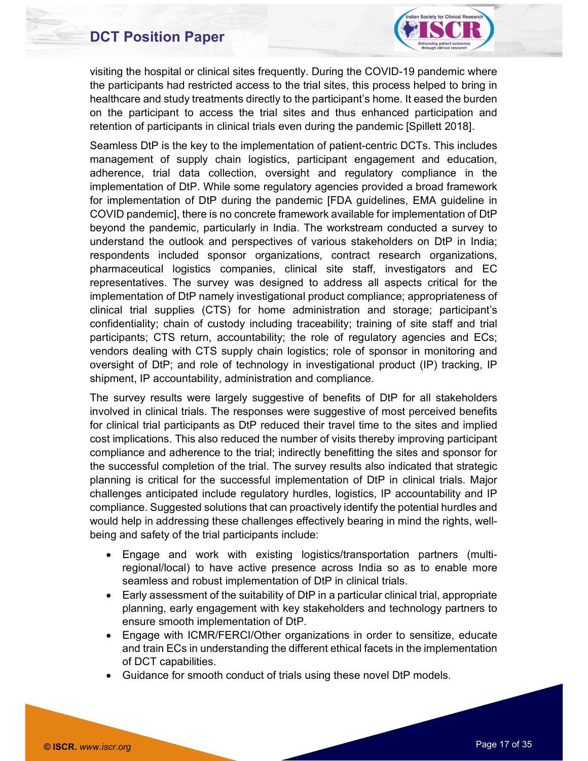

visiting the hospital or clinical sites frequently. During the COVID-19 pandemic where the participants had restricted access to the trial sites, this process helped to bring in healthcare and study treatments directly to the participant's home. It eased the burden on the participant to access the trial sites and thus enhanced participation and retention of participants in clinical trials even during the pandemic [Spillett 2018].

Seamless DtP is the key to the implementation of patient-centric DCTs. This includes management of supply chain logistics, participant engagement and education, adherence, trial data collection, oversight and regulatory compliance in the implementation of DtP. While some regulatory agencies provided a broad framework for implementation of DtP during the pandemic [FDA guidelines, EMA guideline in COVID pandemic], there is no concrete framework available for implementation of DtP beyond the pandemic, particularly in India. The workstream conducted a survey to understand the outlook and perspectives of various stakeholders on DtP in India; respondents included sponsor organizations, contract research organizations, pharmaceutical logistics companies, clinical site staff, investigators and EC representatives. The survey was designed to address all aspects critical for the implementation of DtP namely investigational product compliance; appropriateness of clinical trial supplies (CTS) for home administration and storage; participant's confidentiality; chain of custody including traceability; training of site staff and trial participants; CTS return, accountability; the role of regulatory agencies and ECs; vendors dealing with CTS supply chain logistics; role of sponsor in monitoring and oversight of DtP; and role of technology in investigational product (IP) tracking, IP shipment, IP accountability, administration and compliance.

The survey results were largely suggestive of benefits of DtP for all stakeholders involved in clinical trials. The responses were suggestive of most perceived benefits for clinical trial participants as DtP reduced their travel time to the sites and implied cost implications. This also reduced the number of visits thereby improving participant compliance and adherence to the trial; indirectly benefitting the sites and sponsor for the successful completion of the trial. The survey results also indicated that strategic planning is critical for the successful implementation of DtP in clinical trials. Major challenges anticipated include regulatory hurdles, logistics, IP accountability and IP compliance. Suggested solutions that can proactively identify the potential hurdles and would help in addressing these challenges effectively bearing in mind the rights, wellbeing and safety of the trial participants include:

- Engage and work with existing logistics/transportation partners (multiregional/local) to have active presence across India so as to enable more seamless and robust implementation of DtP in clinical trials.
- Early assessment of the suitability of DtP in a particular clinical trial, appropriate planning, early engagement with key stakeholders and technology partners to ensure smooth implementation of DtP.
- Engage with ICMR/FERCI/Other organizations in order to sensitize, educate and train ECs in understanding the different ethical facets in the implementation of DCT capabilities.
- Guidance for smooth conduct of trials using these novel DtP models.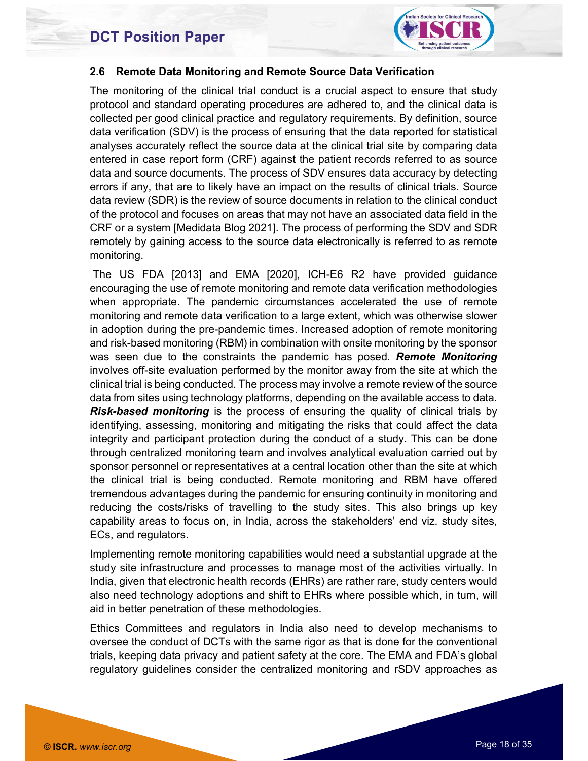

#### 2.6 Remote Data Monitoring and Remote Source Data Verification

The monitoring of the clinical trial conduct is a crucial aspect to ensure that study protocol and standard operating procedures are adhered to, and the clinical data is collected per good clinical practice and regulatory requirements. By definition, source data verification (SDV) is the process of ensuring that the data reported for statistical analyses accurately reflect the source data at the clinical trial site by comparing data entered in case report form (CRF) against the patient records referred to as source data and source documents. The process of SDV ensures data accuracy by detecting errors if any, that are to likely have an impact on the results of clinical trials. Source data review (SDR) is the review of source documents in relation to the clinical conduct of the protocol and focuses on areas that may not have an associated data field in the CRF or a system [Medidata Blog 2021]. The process of performing the SDV and SDR remotely by gaining access to the source data electronically is referred to as remote monitoring.

 The US FDA [2013] and EMA [2020], ICH-E6 R2 have provided guidance encouraging the use of remote monitoring and remote data verification methodologies when appropriate. The pandemic circumstances accelerated the use of remote monitoring and remote data verification to a large extent, which was otherwise slower in adoption during the pre-pandemic times. Increased adoption of remote monitoring and risk-based monitoring (RBM) in combination with onsite monitoring by the sponsor was seen due to the constraints the pandemic has posed. **Remote Monitoring** involves off-site evaluation performed by the monitor away from the site at which the clinical trial is being conducted. The process may involve a remote review of the source data from sites using technology platforms, depending on the available access to data. Risk-based monitoring is the process of ensuring the quality of clinical trials by identifying, assessing, monitoring and mitigating the risks that could affect the data integrity and participant protection during the conduct of a study. This can be done through centralized monitoring team and involves analytical evaluation carried out by sponsor personnel or representatives at a central location other than the site at which the clinical trial is being conducted. Remote monitoring and RBM have offered tremendous advantages during the pandemic for ensuring continuity in monitoring and reducing the costs/risks of travelling to the study sites. This also brings up key capability areas to focus on, in India, across the stakeholders' end viz. study sites, ECs, and regulators.

Implementing remote monitoring capabilities would need a substantial upgrade at the study site infrastructure and processes to manage most of the activities virtually. In India, given that electronic health records (EHRs) are rather rare, study centers would also need technology adoptions and shift to EHRs where possible which, in turn, will aid in better penetration of these methodologies.

Ethics Committees and regulators in India also need to develop mechanisms to oversee the conduct of DCTs with the same rigor as that is done for the conventional trials, keeping data privacy and patient safety at the core. The EMA and FDA's global regulatory guidelines consider the centralized monitoring and rSDV approaches as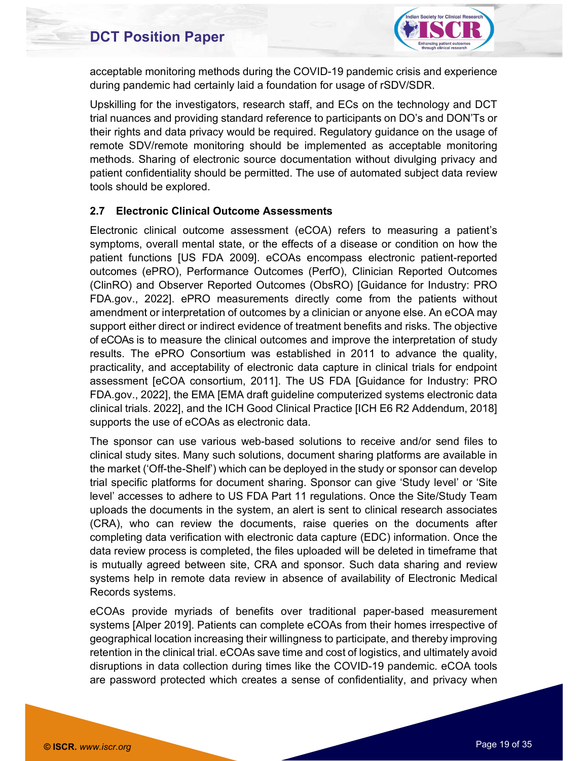

acceptable monitoring methods during the COVID-19 pandemic crisis and experience during pandemic had certainly laid a foundation for usage of rSDV/SDR.

Upskilling for the investigators, research staff, and ECs on the technology and DCT trial nuances and providing standard reference to participants on DO's and DON'Ts or their rights and data privacy would be required. Regulatory guidance on the usage of remote SDV/remote monitoring should be implemented as acceptable monitoring methods. Sharing of electronic source documentation without divulging privacy and patient confidentiality should be permitted. The use of automated subject data review tools should be explored.

#### 2.7 Electronic Clinical Outcome Assessments

Electronic clinical outcome assessment (eCOA) refers to measuring a patient's symptoms, overall mental state, or the effects of a disease or condition on how the patient functions [US FDA 2009]. eCOAs encompass electronic patient-reported outcomes (ePRO), Performance Outcomes (PerfO), Clinician Reported Outcomes (ClinRO) and Observer Reported Outcomes (ObsRO) [Guidance for Industry: PRO FDA.gov., 2022]. ePRO measurements directly come from the patients without amendment or interpretation of outcomes by a clinician or anyone else. An eCOA may support either direct or indirect evidence of treatment benefits and risks. The objective of eCOAs is to measure the clinical outcomes and improve the interpretation of study results. The ePRO Consortium was established in 2011 to advance the quality, practicality, and acceptability of electronic data capture in clinical trials for endpoint assessment [eCOA consortium, 2011]. The US FDA [Guidance for Industry: PRO FDA.gov., 2022], the EMA [EMA draft guideline computerized systems electronic data clinical trials. 2022], and the ICH Good Clinical Practice [ICH E6 R2 Addendum, 2018] supports the use of eCOAs as electronic data.

The sponsor can use various web-based solutions to receive and/or send files to clinical study sites. Many such solutions, document sharing platforms are available in the market ('Off-the-Shelf') which can be deployed in the study or sponsor can develop trial specific platforms for document sharing. Sponsor can give 'Study level' or 'Site level' accesses to adhere to US FDA Part 11 regulations. Once the Site/Study Team uploads the documents in the system, an alert is sent to clinical research associates (CRA), who can review the documents, raise queries on the documents after completing data verification with electronic data capture (EDC) information. Once the data review process is completed, the files uploaded will be deleted in timeframe that is mutually agreed between site, CRA and sponsor. Such data sharing and review systems help in remote data review in absence of availability of Electronic Medical Records systems.

eCOAs provide myriads of benefits over traditional paper-based measurement systems [Alper 2019]. Patients can complete eCOAs from their homes irrespective of geographical location increasing their willingness to participate, and thereby improving retention in the clinical trial. eCOAs save time and cost of logistics, and ultimately avoid disruptions in data collection during times like the COVID-19 pandemic. eCOA tools are password protected which creates a sense of confidentiality, and privacy when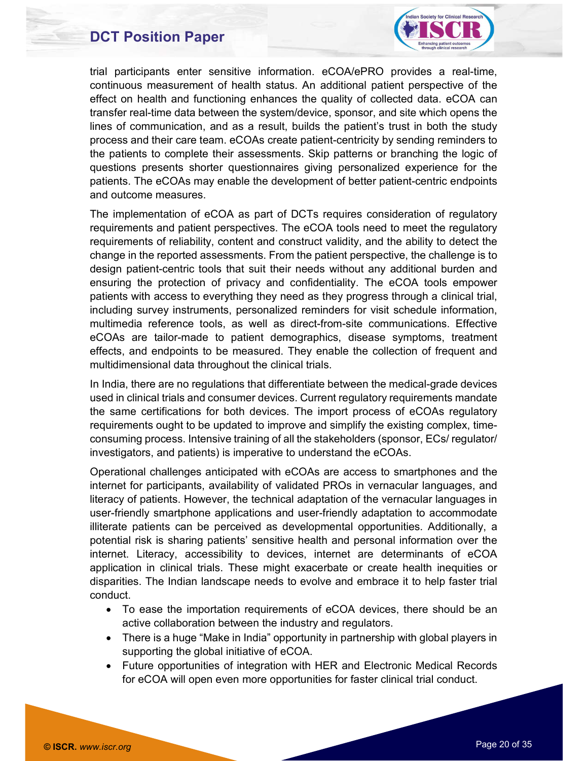

trial participants enter sensitive information. eCOA/ePRO provides a real-time, continuous measurement of health status. An additional patient perspective of the effect on health and functioning enhances the quality of collected data. eCOA can transfer real-time data between the system/device, sponsor, and site which opens the lines of communication, and as a result, builds the patient's trust in both the study process and their care team. eCOAs create patient-centricity by sending reminders to the patients to complete their assessments. Skip patterns or branching the logic of questions presents shorter questionnaires giving personalized experience for the patients. The eCOAs may enable the development of better patient-centric endpoints and outcome measures.

The implementation of eCOA as part of DCTs requires consideration of regulatory requirements and patient perspectives. The eCOA tools need to meet the regulatory requirements of reliability, content and construct validity, and the ability to detect the change in the reported assessments. From the patient perspective, the challenge is to design patient-centric tools that suit their needs without any additional burden and ensuring the protection of privacy and confidentiality. The eCOA tools empower patients with access to everything they need as they progress through a clinical trial, including survey instruments, personalized reminders for visit schedule information, multimedia reference tools, as well as direct-from-site communications. Effective eCOAs are tailor-made to patient demographics, disease symptoms, treatment effects, and endpoints to be measured. They enable the collection of frequent and multidimensional data throughout the clinical trials.

In India, there are no regulations that differentiate between the medical-grade devices used in clinical trials and consumer devices. Current regulatory requirements mandate the same certifications for both devices. The import process of eCOAs regulatory requirements ought to be updated to improve and simplify the existing complex, timeconsuming process. Intensive training of all the stakeholders (sponsor, ECs/ regulator/ investigators, and patients) is imperative to understand the eCOAs.

Operational challenges anticipated with eCOAs are access to smartphones and the internet for participants, availability of validated PROs in vernacular languages, and literacy of patients. However, the technical adaptation of the vernacular languages in user-friendly smartphone applications and user-friendly adaptation to accommodate illiterate patients can be perceived as developmental opportunities. Additionally, a potential risk is sharing patients' sensitive health and personal information over the internet. Literacy, accessibility to devices, internet are determinants of eCOA application in clinical trials. These might exacerbate or create health inequities or disparities. The Indian landscape needs to evolve and embrace it to help faster trial conduct.

- To ease the importation requirements of eCOA devices, there should be an active collaboration between the industry and regulators.
- There is a huge "Make in India" opportunity in partnership with global players in supporting the global initiative of eCOA.
- Future opportunities of integration with HER and Electronic Medical Records for eCOA will open even more opportunities for faster clinical trial conduct.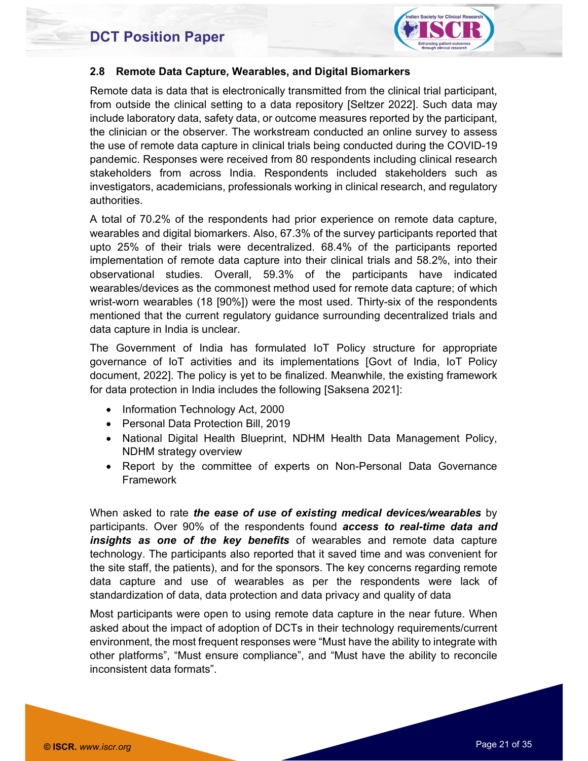

#### 2.8 Remote Data Capture, Wearables, and Digital Biomarkers

Remote data is data that is electronically transmitted from the clinical trial participant, from outside the clinical setting to a data repository [Seltzer 2022]. Such data may include laboratory data, safety data, or outcome measures reported by the participant, the clinician or the observer. The workstream conducted an online survey to assess the use of remote data capture in clinical trials being conducted during the COVID-19 pandemic. Responses were received from 80 respondents including clinical research stakeholders from across India. Respondents included stakeholders such as investigators, academicians, professionals working in clinical research, and regulatory authorities.

A total of 70.2% of the respondents had prior experience on remote data capture, wearables and digital biomarkers. Also, 67.3% of the survey participants reported that upto 25% of their trials were decentralized. 68.4% of the participants reported implementation of remote data capture into their clinical trials and 58.2%, into their observational studies. Overall, 59.3% of the participants have indicated wearables/devices as the commonest method used for remote data capture; of which wrist-worn wearables (18 [90%]) were the most used. Thirty-six of the respondents mentioned that the current regulatory guidance surrounding decentralized trials and data capture in India is unclear.

The Government of India has formulated IoT Policy structure for appropriate governance of IoT activities and its implementations [Govt of India, IoT Policy document, 2022]. The policy is yet to be finalized. Meanwhile, the existing framework for data protection in India includes the following [Saksena 2021]:

- Information Technology Act, 2000
- Personal Data Protection Bill, 2019
- National Digital Health Blueprint, NDHM Health Data Management Policy, NDHM strategy overview
- Report by the committee of experts on Non-Personal Data Governance Framework

When asked to rate the ease of use of existing medical devices/wearables by participants. Over 90% of the respondents found **access to real-time data and** insights as one of the key benefits of wearables and remote data capture technology. The participants also reported that it saved time and was convenient for the site staff, the patients), and for the sponsors. The key concerns regarding remote data capture and use of wearables as per the respondents were lack of standardization of data, data protection and data privacy and quality of data

Most participants were open to using remote data capture in the near future. When asked about the impact of adoption of DCTs in their technology requirements/current environment, the most frequent responses were "Must have the ability to integrate with other platforms", "Must ensure compliance", and "Must have the ability to reconcile inconsistent data formats".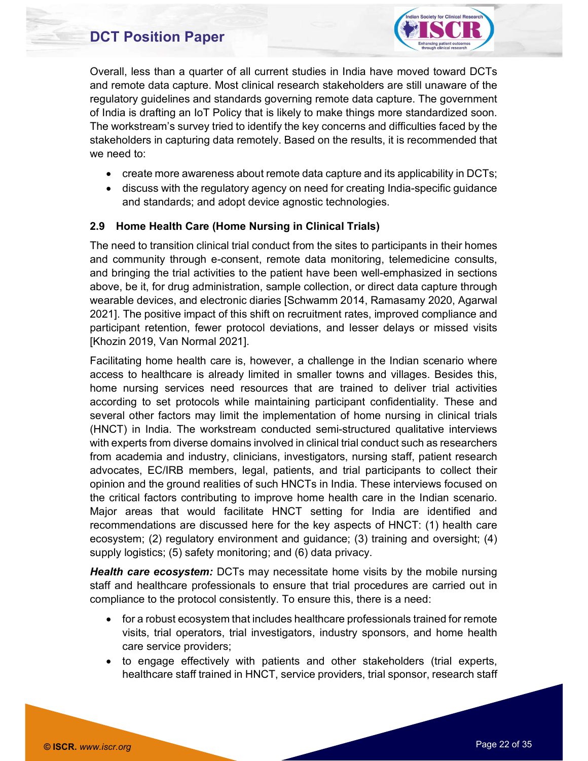

Overall, less than a quarter of all current studies in India have moved toward DCTs and remote data capture. Most clinical research stakeholders are still unaware of the regulatory guidelines and standards governing remote data capture. The government of India is drafting an IoT Policy that is likely to make things more standardized soon. The workstream's survey tried to identify the key concerns and difficulties faced by the stakeholders in capturing data remotely. Based on the results, it is recommended that we need to:

- create more awareness about remote data capture and its applicability in DCTs;
- discuss with the regulatory agency on need for creating India-specific guidance and standards; and adopt device agnostic technologies.

#### 2.9 Home Health Care (Home Nursing in Clinical Trials)

The need to transition clinical trial conduct from the sites to participants in their homes and community through e-consent, remote data monitoring, telemedicine consults, and bringing the trial activities to the patient have been well-emphasized in sections above, be it, for drug administration, sample collection, or direct data capture through wearable devices, and electronic diaries [Schwamm 2014, Ramasamy 2020, Agarwal 2021]. The positive impact of this shift on recruitment rates, improved compliance and participant retention, fewer protocol deviations, and lesser delays or missed visits [Khozin 2019, Van Normal 2021].

Facilitating home health care is, however, a challenge in the Indian scenario where access to healthcare is already limited in smaller towns and villages. Besides this, home nursing services need resources that are trained to deliver trial activities according to set protocols while maintaining participant confidentiality. These and several other factors may limit the implementation of home nursing in clinical trials (HNCT) in India. The workstream conducted semi-structured qualitative interviews with experts from diverse domains involved in clinical trial conduct such as researchers from academia and industry, clinicians, investigators, nursing staff, patient research advocates, EC/IRB members, legal, patients, and trial participants to collect their opinion and the ground realities of such HNCTs in India. These interviews focused on the critical factors contributing to improve home health care in the Indian scenario. Major areas that would facilitate HNCT setting for India are identified and recommendations are discussed here for the key aspects of HNCT: (1) health care ecosystem; (2) regulatory environment and guidance; (3) training and oversight; (4) supply logistics; (5) safety monitoring; and (6) data privacy.

**Health care ecosystem:** DCTs may necessitate home visits by the mobile nursing staff and healthcare professionals to ensure that trial procedures are carried out in compliance to the protocol consistently. To ensure this, there is a need:

- for a robust ecosystem that includes healthcare professionals trained for remote visits, trial operators, trial investigators, industry sponsors, and home health care service providers;
- to engage effectively with patients and other stakeholders (trial experts, healthcare staff trained in HNCT, service providers, trial sponsor, research staff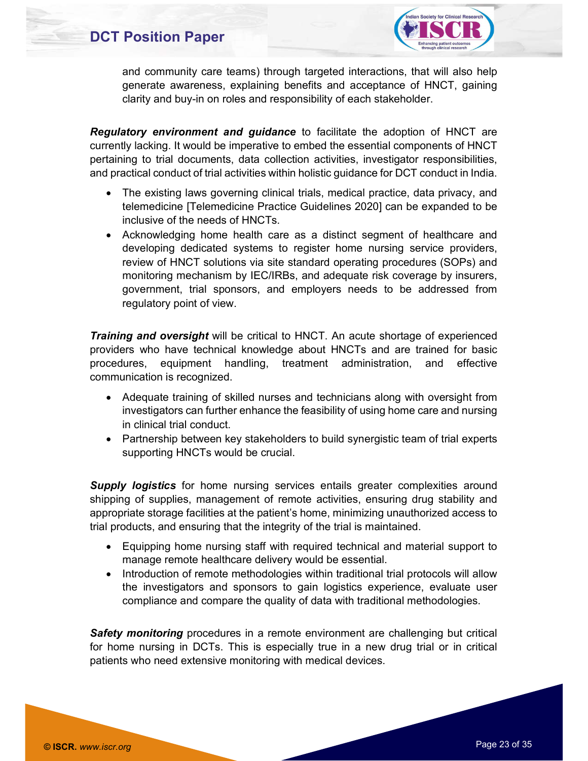

and community care teams) through targeted interactions, that will also help generate awareness, explaining benefits and acceptance of HNCT, gaining clarity and buy-in on roles and responsibility of each stakeholder.

Regulatory environment and guidance to facilitate the adoption of HNCT are currently lacking. It would be imperative to embed the essential components of HNCT pertaining to trial documents, data collection activities, investigator responsibilities, and practical conduct of trial activities within holistic guidance for DCT conduct in India.

- The existing laws governing clinical trials, medical practice, data privacy, and telemedicine [Telemedicine Practice Guidelines 2020] can be expanded to be inclusive of the needs of HNCTs.
- Acknowledging home health care as a distinct segment of healthcare and developing dedicated systems to register home nursing service providers, review of HNCT solutions via site standard operating procedures (SOPs) and monitoring mechanism by IEC/IRBs, and adequate risk coverage by insurers, government, trial sponsors, and employers needs to be addressed from regulatory point of view.

**Training and oversight** will be critical to HNCT. An acute shortage of experienced providers who have technical knowledge about HNCTs and are trained for basic procedures, equipment handling, treatment administration, and effective communication is recognized.

- Adequate training of skilled nurses and technicians along with oversight from investigators can further enhance the feasibility of using home care and nursing in clinical trial conduct.
- Partnership between key stakeholders to build synergistic team of trial experts supporting HNCTs would be crucial.

**Supply logistics** for home nursing services entails greater complexities around shipping of supplies, management of remote activities, ensuring drug stability and appropriate storage facilities at the patient's home, minimizing unauthorized access to trial products, and ensuring that the integrity of the trial is maintained.

- Equipping home nursing staff with required technical and material support to manage remote healthcare delivery would be essential.
- Introduction of remote methodologies within traditional trial protocols will allow the investigators and sponsors to gain logistics experience, evaluate user compliance and compare the quality of data with traditional methodologies.

Safety monitoring procedures in a remote environment are challenging but critical for home nursing in DCTs. This is especially true in a new drug trial or in critical patients who need extensive monitoring with medical devices.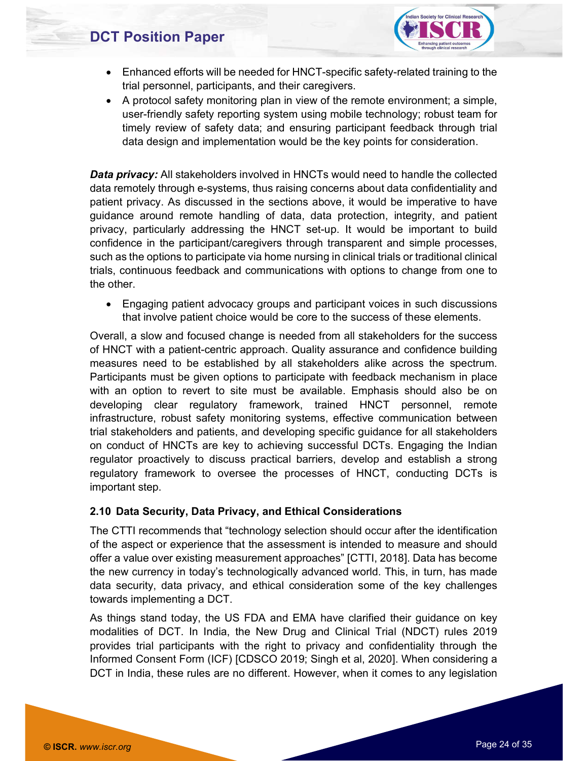

- Enhanced efforts will be needed for HNCT-specific safety-related training to the trial personnel, participants, and their caregivers.
- A protocol safety monitoring plan in view of the remote environment; a simple, user-friendly safety reporting system using mobile technology; robust team for timely review of safety data; and ensuring participant feedback through trial data design and implementation would be the key points for consideration.

**Data privacy:** All stakeholders involved in HNCTs would need to handle the collected data remotely through e-systems, thus raising concerns about data confidentiality and patient privacy. As discussed in the sections above, it would be imperative to have guidance around remote handling of data, data protection, integrity, and patient privacy, particularly addressing the HNCT set-up. It would be important to build confidence in the participant/caregivers through transparent and simple processes, such as the options to participate via home nursing in clinical trials or traditional clinical trials, continuous feedback and communications with options to change from one to the other.

 Engaging patient advocacy groups and participant voices in such discussions that involve patient choice would be core to the success of these elements.

Overall, a slow and focused change is needed from all stakeholders for the success of HNCT with a patient-centric approach. Quality assurance and confidence building measures need to be established by all stakeholders alike across the spectrum. Participants must be given options to participate with feedback mechanism in place with an option to revert to site must be available. Emphasis should also be on developing clear regulatory framework, trained HNCT personnel, remote infrastructure, robust safety monitoring systems, effective communication between trial stakeholders and patients, and developing specific guidance for all stakeholders on conduct of HNCTs are key to achieving successful DCTs. Engaging the Indian regulator proactively to discuss practical barriers, develop and establish a strong regulatory framework to oversee the processes of HNCT, conducting DCTs is important step.

#### 2.10 Data Security, Data Privacy, and Ethical Considerations

The CTTI recommends that "technology selection should occur after the identification of the aspect or experience that the assessment is intended to measure and should offer a value over existing measurement approaches" [CTTI, 2018]. Data has become the new currency in today's technologically advanced world. This, in turn, has made data security, data privacy, and ethical consideration some of the key challenges towards implementing a DCT.

As things stand today, the US FDA and EMA have clarified their guidance on key modalities of DCT. In India, the New Drug and Clinical Trial (NDCT) rules 2019 provides trial participants with the right to privacy and confidentiality through the Informed Consent Form (ICF) [CDSCO 2019; Singh et al, 2020]. When considering a DCT in India, these rules are no different. However, when it comes to any legislation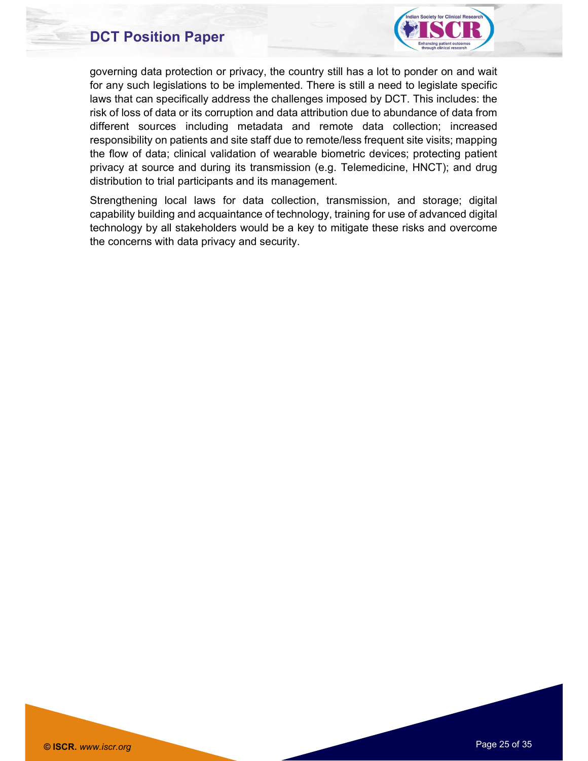

governing data protection or privacy, the country still has a lot to ponder on and wait for any such legislations to be implemented. There is still a need to legislate specific laws that can specifically address the challenges imposed by DCT. This includes: the risk of loss of data or its corruption and data attribution due to abundance of data from different sources including metadata and remote data collection; increased responsibility on patients and site staff due to remote/less frequent site visits; mapping the flow of data; clinical validation of wearable biometric devices; protecting patient privacy at source and during its transmission (e.g. Telemedicine, HNCT); and drug distribution to trial participants and its management.

Strengthening local laws for data collection, transmission, and storage; digital capability building and acquaintance of technology, training for use of advanced digital technology by all stakeholders would be a key to mitigate these risks and overcome the concerns with data privacy and security.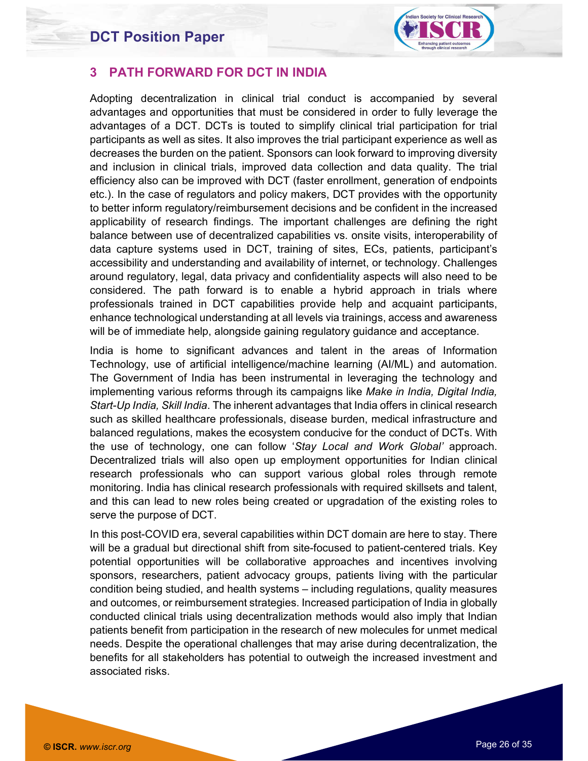

#### 3 PATH FORWARD FOR DCT IN INDIA

Adopting decentralization in clinical trial conduct is accompanied by several advantages and opportunities that must be considered in order to fully leverage the advantages of a DCT. DCTs is touted to simplify clinical trial participation for trial participants as well as sites. It also improves the trial participant experience as well as decreases the burden on the patient. Sponsors can look forward to improving diversity and inclusion in clinical trials, improved data collection and data quality. The trial efficiency also can be improved with DCT (faster enrollment, generation of endpoints etc.). In the case of regulators and policy makers, DCT provides with the opportunity to better inform regulatory/reimbursement decisions and be confident in the increased applicability of research findings. The important challenges are defining the right balance between use of decentralized capabilities vs. onsite visits, interoperability of data capture systems used in DCT, training of sites, ECs, patients, participant's accessibility and understanding and availability of internet, or technology. Challenges around regulatory, legal, data privacy and confidentiality aspects will also need to be considered. The path forward is to enable a hybrid approach in trials where professionals trained in DCT capabilities provide help and acquaint participants, enhance technological understanding at all levels via trainings, access and awareness will be of immediate help, alongside gaining regulatory guidance and acceptance.

India is home to significant advances and talent in the areas of Information Technology, use of artificial intelligence/machine learning (AI/ML) and automation. The Government of India has been instrumental in leveraging the technology and implementing various reforms through its campaigns like Make in India, Digital India, Start-Up India, Skill India. The inherent advantages that India offers in clinical research such as skilled healthcare professionals, disease burden, medical infrastructure and balanced regulations, makes the ecosystem conducive for the conduct of DCTs. With the use of technology, one can follow 'Stay Local and Work Global' approach. Decentralized trials will also open up employment opportunities for Indian clinical research professionals who can support various global roles through remote monitoring. India has clinical research professionals with required skillsets and talent, and this can lead to new roles being created or upgradation of the existing roles to serve the purpose of DCT.

In this post-COVID era, several capabilities within DCT domain are here to stay. There will be a gradual but directional shift from site-focused to patient-centered trials. Key potential opportunities will be collaborative approaches and incentives involving sponsors, researchers, patient advocacy groups, patients living with the particular condition being studied, and health systems – including regulations, quality measures and outcomes, or reimbursement strategies. Increased participation of India in globally conducted clinical trials using decentralization methods would also imply that Indian patients benefit from participation in the research of new molecules for unmet medical needs. Despite the operational challenges that may arise during decentralization, the benefits for all stakeholders has potential to outweigh the increased investment and associated risks.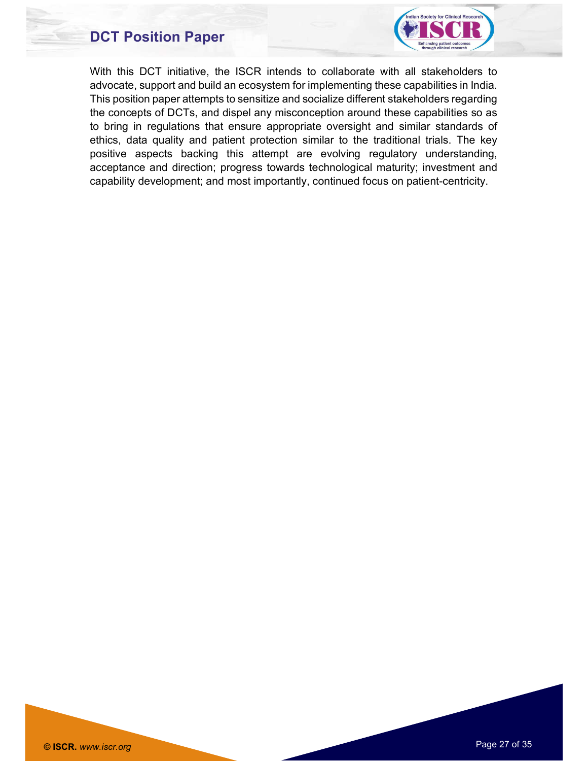

With this DCT initiative, the ISCR intends to collaborate with all stakeholders to advocate, support and build an ecosystem for implementing these capabilities in India. This position paper attempts to sensitize and socialize different stakeholders regarding the concepts of DCTs, and dispel any misconception around these capabilities so as to bring in regulations that ensure appropriate oversight and similar standards of ethics, data quality and patient protection similar to the traditional trials. The key positive aspects backing this attempt are evolving regulatory understanding, acceptance and direction; progress towards technological maturity; investment and capability development; and most importantly, continued focus on patient-centricity.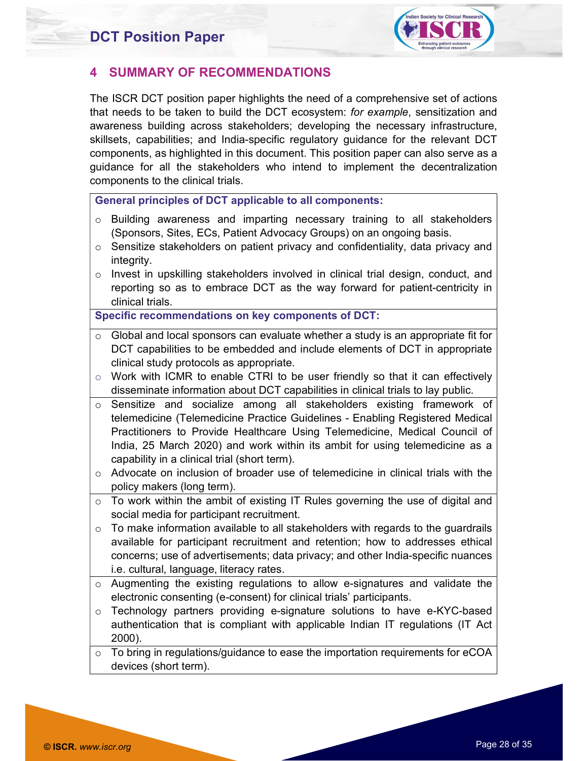

#### 4 SUMMARY OF RECOMMENDATIONS

The ISCR DCT position paper highlights the need of a comprehensive set of actions that needs to be taken to build the DCT ecosystem: for example, sensitization and awareness building across stakeholders; developing the necessary infrastructure, skillsets, capabilities; and India-specific regulatory guidance for the relevant DCT components, as highlighted in this document. This position paper can also serve as a guidance for all the stakeholders who intend to implement the decentralization components to the clinical trials.

General principles of DCT applicable to all components:

- o Building awareness and imparting necessary training to all stakeholders (Sponsors, Sites, ECs, Patient Advocacy Groups) on an ongoing basis.
- $\circ$  Sensitize stakeholders on patient privacy and confidentiality, data privacy and integrity.
- o Invest in upskilling stakeholders involved in clinical trial design, conduct, and reporting so as to embrace DCT as the way forward for patient-centricity in clinical trials.

Specific recommendations on key components of DCT:

- $\circ$  Global and local sponsors can evaluate whether a study is an appropriate fit for DCT capabilities to be embedded and include elements of DCT in appropriate clinical study protocols as appropriate.
- $\circ$  Work with ICMR to enable CTRI to be user friendly so that it can effectively disseminate information about DCT capabilities in clinical trials to lay public.
- Sensitize and socialize among all stakeholders existing framework of telemedicine (Telemedicine Practice Guidelines - Enabling Registered Medical Practitioners to Provide Healthcare Using Telemedicine, Medical Council of India, 25 March 2020) and work within its ambit for using telemedicine as a capability in a clinical trial (short term).
- o Advocate on inclusion of broader use of telemedicine in clinical trials with the policy makers (long term).
- o To work within the ambit of existing IT Rules governing the use of digital and social media for participant recruitment.
- $\circ$  To make information available to all stakeholders with regards to the guardrails available for participant recruitment and retention; how to addresses ethical concerns; use of advertisements; data privacy; and other India-specific nuances i.e. cultural, language, literacy rates.
- o Augmenting the existing regulations to allow e-signatures and validate the electronic consenting (e-consent) for clinical trials' participants.
- $\circ$  Technology partners providing e-signature solutions to have e-KYC-based authentication that is compliant with applicable Indian IT regulations (IT Act 2000).
- $\circ$  To bring in regulations/guidance to ease the importation requirements for eCOA devices (short term).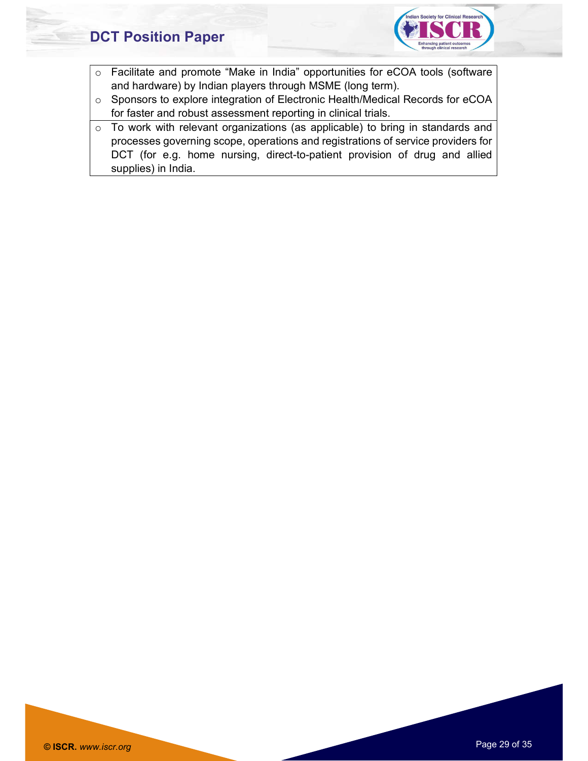

- o Facilitate and promote "Make in India" opportunities for eCOA tools (software and hardware) by Indian players through MSME (long term).
- o Sponsors to explore integration of Electronic Health/Medical Records for eCOA for faster and robust assessment reporting in clinical trials.
- o To work with relevant organizations (as applicable) to bring in standards and processes governing scope, operations and registrations of service providers for DCT (for e.g. home nursing, direct-to-patient provision of drug and allied supplies) in India.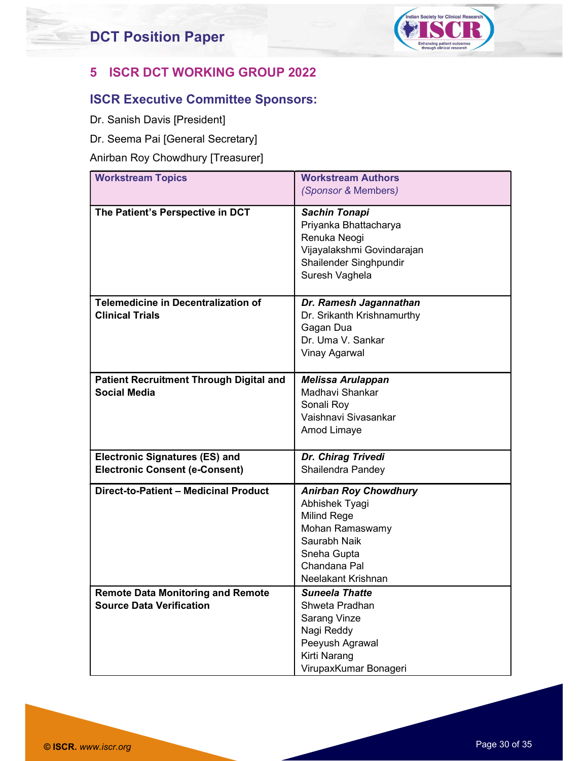

#### 5 ISCR DCT WORKING GROUP 2022

#### ISCR Executive Committee Sponsors:

- Dr. Sanish Davis [President]
- Dr. Seema Pai [General Secretary]

#### Anirban Roy Chowdhury [Treasurer]

| <b>Workstream Topics</b>                                              | <b>Workstream Authors</b>                     |
|-----------------------------------------------------------------------|-----------------------------------------------|
|                                                                       | (Sponsor & Members)                           |
| The Patient's Perspective in DCT                                      | <b>Sachin Tonapi</b><br>Priyanka Bhattacharya |
|                                                                       | Renuka Neogi<br>Vijayalakshmi Govindarajan    |
|                                                                       | Shailender Singhpundir                        |
|                                                                       | Suresh Vaghela                                |
| <b>Telemedicine in Decentralization of</b>                            | Dr. Ramesh Jagannathan                        |
| <b>Clinical Trials</b>                                                | Dr. Srikanth Krishnamurthy<br>Gagan Dua       |
|                                                                       | Dr. Uma V. Sankar                             |
|                                                                       | <b>Vinay Agarwal</b>                          |
|                                                                       |                                               |
| <b>Patient Recruitment Through Digital and</b><br><b>Social Media</b> | <b>Melissa Arulappan</b><br>Madhavi Shankar   |
|                                                                       | Sonali Roy                                    |
|                                                                       | Vaishnavi Sivasankar                          |
|                                                                       | Amod Limaye                                   |
| <b>Electronic Signatures (ES) and</b>                                 | Dr. Chirag Trivedi                            |
| <b>Electronic Consent (e-Consent)</b>                                 | Shailendra Pandey                             |
| Direct-to-Patient - Medicinal Product                                 | <b>Anirban Roy Chowdhury</b>                  |
|                                                                       | Abhishek Tyagi                                |
|                                                                       | Milind Rege<br>Mohan Ramaswamy                |
|                                                                       | Saurabh Naik                                  |
|                                                                       | Sneha Gupta                                   |
|                                                                       | Chandana Pal<br>Neelakant Krishnan            |
| <b>Remote Data Monitoring and Remote</b>                              | <b>Suneela Thatte</b>                         |
| <b>Source Data Verification</b>                                       | Shweta Pradhan                                |
|                                                                       | <b>Sarang Vinze</b>                           |
|                                                                       | Nagi Reddy<br>Peeyush Agrawal                 |
|                                                                       | Kirti Narang                                  |
|                                                                       | VirupaxKumar Bonageri                         |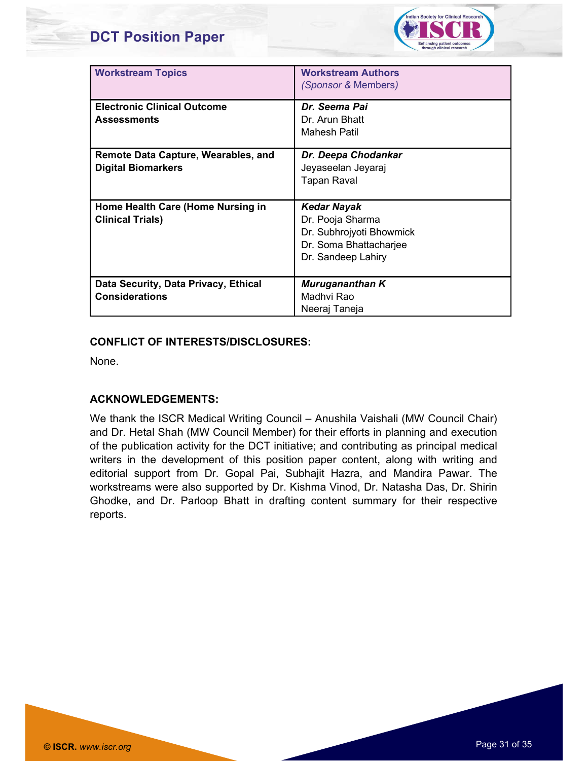

| <b>Workstream Topics</b>                   | <b>Workstream Authors</b><br><i>(Sponsor &amp; Members)</i> |
|--------------------------------------------|-------------------------------------------------------------|
| <b>Electronic Clinical Outcome</b>         | Dr. Seema Pai                                               |
| <b>Assessments</b>                         | Dr. Arun Bhatt                                              |
|                                            | Mahesh Patil                                                |
| <b>Remote Data Capture, Wearables, and</b> | Dr. Deepa Chodankar                                         |
| <b>Digital Biomarkers</b>                  | Jeyaseelan Jeyaraj                                          |
|                                            | <b>Tapan Raval</b>                                          |
|                                            |                                                             |
| Home Health Care (Home Nursing in          | <b>Kedar Nayak</b>                                          |
| <b>Clinical Trials)</b>                    | Dr. Pooja Sharma                                            |
|                                            | Dr. Subhrojyoti Bhowmick                                    |
|                                            | Dr. Soma Bhattacharjee                                      |
|                                            | Dr. Sandeep Lahiry                                          |
|                                            |                                                             |
| Data Security, Data Privacy, Ethical       | Murugananthan K                                             |
| <b>Considerations</b>                      | Madhvi Rao                                                  |
|                                            | Neeraj Taneja                                               |

#### CONFLICT OF INTERESTS/DISCLOSURES:

None.

#### ACKNOWLEDGEMENTS:

We thank the ISCR Medical Writing Council – Anushila Vaishali (MW Council Chair) and Dr. Hetal Shah (MW Council Member) for their efforts in planning and execution of the publication activity for the DCT initiative; and contributing as principal medical writers in the development of this position paper content, along with writing and editorial support from Dr. Gopal Pai, Subhajit Hazra, and Mandira Pawar. The workstreams were also supported by Dr. Kishma Vinod, Dr. Natasha Das, Dr. Shirin Ghodke, and Dr. Parloop Bhatt in drafting content summary for their respective reports.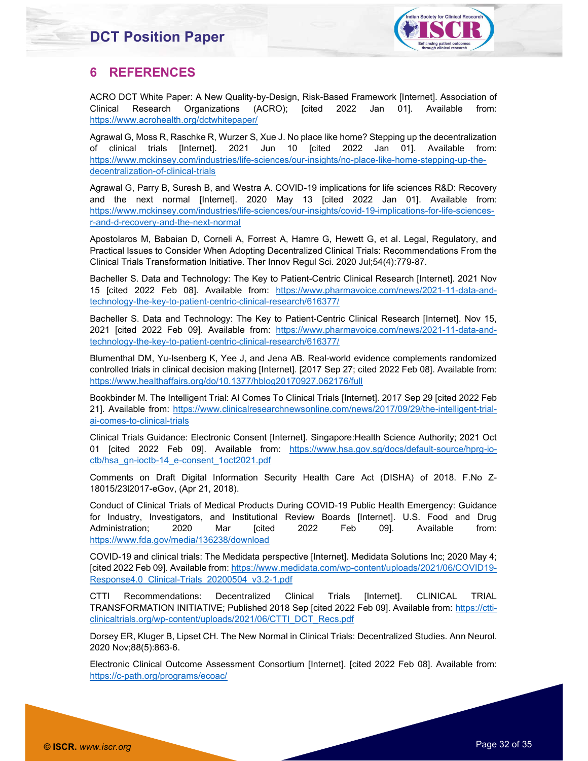

#### 6 REFERENCES

ACRO DCT White Paper: A New Quality-by-Design, Risk-Based Framework [Internet]. Association of Clinical Research Organizations (ACRO); [cited 2022 Jan 01]. Available from: https://www.acrohealth.org/dctwhitepaper/

Agrawal G, Moss R, Raschke R, Wurzer S, Xue J. No place like home? Stepping up the decentralization of clinical trials [Internet]. 2021 Jun 10 [cited 2022 Jan 01]. Available from: https://www.mckinsey.com/industries/life-sciences/our-insights/no-place-like-home-stepping-up-thedecentralization-of-clinical-trials

Agrawal G, Parry B, Suresh B, and Westra A. COVID-19 implications for life sciences R&D: Recovery and the next normal [Internet]. 2020 May 13 [cited 2022 Jan 01]. Available from: https://www.mckinsey.com/industries/life-sciences/our-insights/covid-19-implications-for-life-sciencesr-and-d-recovery-and-the-next-normal

Apostolaros M, Babaian D, Corneli A, Forrest A, Hamre G, Hewett G, et al. Legal, Regulatory, and Practical Issues to Consider When Adopting Decentralized Clinical Trials: Recommendations From the Clinical Trials Transformation Initiative. Ther Innov Regul Sci. 2020 Jul;54(4):779-87.

Bacheller S. Data and Technology: The Key to Patient-Centric Clinical Research [Internet]. 2021 Nov 15 [cited 2022 Feb 08]. Available from: https://www.pharmavoice.com/news/2021-11-data-andtechnology-the-key-to-patient-centric-clinical-research/616377/

Bacheller S. Data and Technology: The Key to Patient-Centric Clinical Research [Internet]. Nov 15, 2021 [cited 2022 Feb 09]. Available from: https://www.pharmavoice.com/news/2021-11-data-andtechnology-the-key-to-patient-centric-clinical-research/616377/

Blumenthal DM, Yu-Isenberg K, Yee J, and Jena AB. Real-world evidence complements randomized controlled trials in clinical decision making [Internet]. [2017 Sep 27; cited 2022 Feb 08]. Available from: https://www.healthaffairs.org/do/10.1377/hblog20170927.062176/full

Bookbinder M. The Intelligent Trial: AI Comes To Clinical Trials [Internet]. 2017 Sep 29 [cited 2022 Feb 21]. Available from: https://www.clinicalresearchnewsonline.com/news/2017/09/29/the-intelligent-trialai-comes-to-clinical-trials

Clinical Trials Guidance: Electronic Consent [Internet]. Singapore:Health Science Authority; 2021 Oct 01 [cited 2022 Feb 09]. Available from: https://www.hsa.gov.sg/docs/default-source/hprg-ioctb/hsa\_gn-ioctb-14\_e-consent\_1oct2021.pdf

Comments on Draft Digital Information Security Health Care Act (DISHA) of 2018. F.No Z-18015/23l2017-eGov, (Apr 21, 2018).

Conduct of Clinical Trials of Medical Products During COVID-19 Public Health Emergency: Guidance for Industry, Investigators, and Institutional Review Boards [Internet]. U.S. Food and Drug Administration; 2020 Mar [cited 2022 Feb 09]. Available from: https://www.fda.gov/media/136238/download

COVID-19 and clinical trials: The Medidata perspective [Internet]. Medidata Solutions Inc; 2020 May 4; [cited 2022 Feb 09]. Available from: https://www.medidata.com/wp-content/uploads/2021/06/COVID19-Response4.0\_Clinical-Trials\_20200504\_v3.2-1.pdf

CTTI Recommendations: Decentralized Clinical Trials [Internet]. CLINICAL TRIAL TRANSFORMATION INITIATIVE; Published 2018 Sep [cited 2022 Feb 09]. Available from: https://ctticlinicaltrials.org/wp-content/uploads/2021/06/CTTI\_DCT\_Recs.pdf

Dorsey ER, Kluger B, Lipset CH. The New Normal in Clinical Trials: Decentralized Studies. Ann Neurol. 2020 Nov;88(5):863-6.

Electronic Clinical Outcome Assessment Consortium [Internet]. [cited 2022 Feb 08]. Available from: https://c-path.org/programs/ecoac/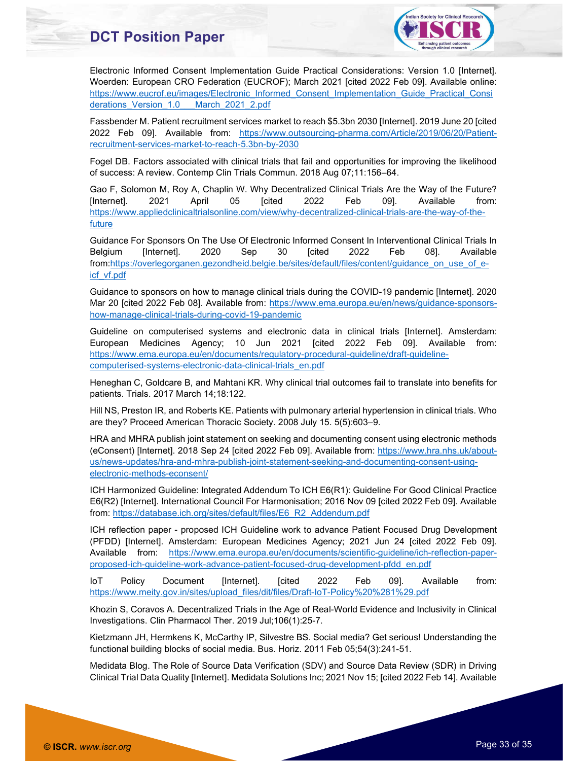

Electronic Informed Consent Implementation Guide Practical Considerations: Version 1.0 [Internet]. Woerden: European CRO Federation (EUCROF); March 2021 [cited 2022 Feb 09]. Available online: https://www.eucrof.eu/images/Electronic\_Informed\_Consent\_Implementation\_Guide\_Practical\_Consi derations\_Version\_1.0\_\_\_March\_2021\_2.pdf

Fassbender M. Patient recruitment services market to reach \$5.3bn 2030 [Internet]. 2019 June 20 [cited 2022 Feb 09]. Available from: https://www.outsourcing-pharma.com/Article/2019/06/20/Patientrecruitment-services-market-to-reach-5.3bn-by-2030

Fogel DB. Factors associated with clinical trials that fail and opportunities for improving the likelihood of success: A review. Contemp Clin Trials Commun. 2018 Aug 07;11:156–64.

Gao F, Solomon M, Roy A, Chaplin W. Why Decentralized Clinical Trials Are the Way of the Future? [Internet]. 2021 April 05 [cited 2022 Feb 09]. Available from: https://www.appliedclinicaltrialsonline.com/view/why-decentralized-clinical-trials-are-the-way-of-thefuture

Guidance For Sponsors On The Use Of Electronic Informed Consent In Interventional Clinical Trials In Belgium [Internet]. 2020 Sep 30 [cited 2022 Feb 08]. Available from:https://overlegorganen.gezondheid.belgie.be/sites/default/files/content/guidance\_on\_use\_of\_eicf\_vf.pdf

Guidance to sponsors on how to manage clinical trials during the COVID-19 pandemic [Internet]. 2020 Mar 20 [cited 2022 Feb 08]. Available from: https://www.ema.europa.eu/en/news/guidance-sponsorshow-manage-clinical-trials-during-covid-19-pandemic

Guideline on computerised systems and electronic data in clinical trials [Internet]. Amsterdam: European Medicines Agency; 10 Jun 2021 [cited 2022 Feb 09]. Available from: https://www.ema.europa.eu/en/documents/regulatory-procedural-guideline/draft-guidelinecomputerised-systems-electronic-data-clinical-trials\_en.pdf

Heneghan C, Goldcare B, and Mahtani KR. Why clinical trial outcomes fail to translate into benefits for patients. Trials. 2017 March 14;18:122.

Hill NS, Preston IR, and Roberts KE. Patients with pulmonary arterial hypertension in clinical trials. Who are they? Proceed American Thoracic Society. 2008 July 15. 5(5):603–9.

HRA and MHRA publish joint statement on seeking and documenting consent using electronic methods (eConsent) [Internet]. 2018 Sep 24 [cited 2022 Feb 09]. Available from: https://www.hra.nhs.uk/aboutus/news-updates/hra-and-mhra-publish-joint-statement-seeking-and-documenting-consent-usingelectronic-methods-econsent/

ICH Harmonized Guideline: Integrated Addendum To ICH E6(R1): Guideline For Good Clinical Practice E6(R2) [Internet]. International Council For Harmonisation; 2016 Nov 09 [cited 2022 Feb 09]. Available from: https://database.ich.org/sites/default/files/E6\_R2\_Addendum.pdf

ICH reflection paper - proposed ICH Guideline work to advance Patient Focused Drug Development (PFDD) [Internet]. Amsterdam: European Medicines Agency; 2021 Jun 24 [cited 2022 Feb 09]. Available from: https://www.ema.europa.eu/en/documents/scientific-guideline/ich-reflection-paperproposed-ich-guideline-work-advance-patient-focused-drug-development-pfdd\_en.pdf

IoT Policy Document [Internet]. [cited 2022 Feb 09]. Available from: https://www.meity.gov.in/sites/upload\_files/dit/files/Draft-IoT-Policy%20%281%29.pdf

Khozin S, Coravos A. Decentralized Trials in the Age of Real-World Evidence and Inclusivity in Clinical Investigations. Clin Pharmacol Ther. 2019 Jul;106(1):25-7.

Kietzmann JH, Hermkens K, McCarthy IP, Silvestre BS. Social media? Get serious! Understanding the functional building blocks of social media. Bus. Horiz. 2011 Feb 05;54(3):241-51.

Medidata Blog. The Role of Source Data Verification (SDV) and Source Data Review (SDR) in Driving Clinical Trial Data Quality [Internet]. Medidata Solutions Inc; 2021 Nov 15; [cited 2022 Feb 14]. Available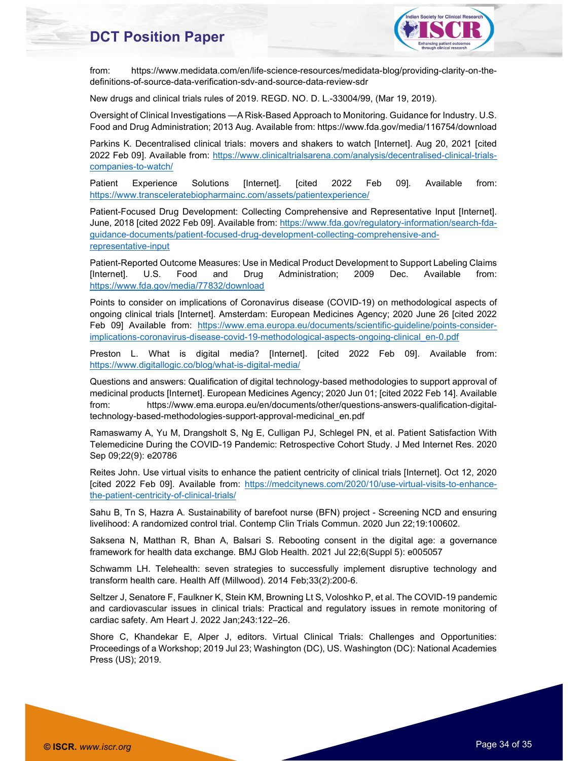

from: https://www.medidata.com/en/life-science-resources/medidata-blog/providing-clarity-on-thedefinitions-of-source-data-verification-sdv-and-source-data-review-sdr

New drugs and clinical trials rules of 2019. REGD. NO. D. L.-33004/99, (Mar 19, 2019).

Oversight of Clinical Investigations —A Risk-Based Approach to Monitoring. Guidance for Industry. U.S. Food and Drug Administration; 2013 Aug. Available from: https://www.fda.gov/media/116754/download

Parkins K. Decentralised clinical trials: movers and shakers to watch [Internet]. Aug 20, 2021 [cited 2022 Feb 09]. Available from: https://www.clinicaltrialsarena.com/analysis/decentralised-clinical-trialscompanies-to-watch/

Patient Experience Solutions [Internet]. [cited 2022 Feb 09]. Available from: https://www.transceleratebiopharmainc.com/assets/patientexperience/

Patient-Focused Drug Development: Collecting Comprehensive and Representative Input [Internet]. June, 2018 [cited 2022 Feb 09]. Available from: https://www.fda.gov/regulatory-information/search-fdaguidance-documents/patient-focused-drug-development-collecting-comprehensive-andrepresentative-input

Patient-Reported Outcome Measures: Use in Medical Product Development to Support Labeling Claims [Internet]. U.S. Food and Drug Administration; 2009 Dec. Available from: https://www.fda.gov/media/77832/download

Points to consider on implications of Coronavirus disease (COVID-19) on methodological aspects of ongoing clinical trials [Internet]. Amsterdam: European Medicines Agency; 2020 June 26 [cited 2022 Feb 09] Available from: https://www.ema.europa.eu/documents/scientific-guideline/points-considerimplications-coronavirus-disease-covid-19-methodological-aspects-ongoing-clinical\_en-0.pdf

Preston L. What is digital media? [Internet]. [cited 2022 Feb 09]. Available from: https://www.digitallogic.co/blog/what-is-digital-media/

Questions and answers: Qualification of digital technology-based methodologies to support approval of medicinal products [Internet]. European Medicines Agency; 2020 Jun 01; [cited 2022 Feb 14]. Available from: https://www.ema.europa.eu/en/documents/other/questions-answers-qualification-digitaltechnology-based-methodologies-support-approval-medicinal\_en.pdf

Ramaswamy A, Yu M, Drangsholt S, Ng E, Culligan PJ, Schlegel PN, et al. Patient Satisfaction With Telemedicine During the COVID-19 Pandemic: Retrospective Cohort Study. J Med Internet Res. 2020 Sep 09;22(9): e20786

Reites John. Use virtual visits to enhance the patient centricity of clinical trials [Internet]. Oct 12, 2020 [cited 2022 Feb 09]. Available from: https://medcitynews.com/2020/10/use-virtual-visits-to-enhancethe-patient-centricity-of-clinical-trials/

Sahu B, Tn S, Hazra A. Sustainability of barefoot nurse (BFN) project - Screening NCD and ensuring livelihood: A randomized control trial. Contemp Clin Trials Commun. 2020 Jun 22;19:100602.

Saksena N, Matthan R, Bhan A, Balsari S. Rebooting consent in the digital age: a governance framework for health data exchange. BMJ Glob Health. 2021 Jul 22;6(Suppl 5): e005057

Schwamm LH. Telehealth: seven strategies to successfully implement disruptive technology and transform health care. Health Aff (Millwood). 2014 Feb;33(2):200-6.

Seltzer J, Senatore F, Faulkner K, Stein KM, Browning Lt S, Voloshko P, et al. The COVID-19 pandemic and cardiovascular issues in clinical trials: Practical and regulatory issues in remote monitoring of cardiac safety. Am Heart J. 2022 Jan;243:122–26.

Shore C, Khandekar E, Alper J, editors. Virtual Clinical Trials: Challenges and Opportunities: Proceedings of a Workshop; 2019 Jul 23; Washington (DC), US. Washington (DC): National Academies Press (US); 2019.